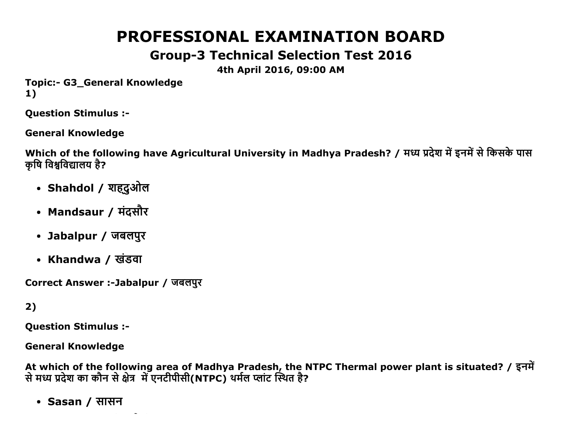# PROFESSIONAL EXAMINATION BOARD

## Group3 Technical Selection Test 2016

4th April 2016, 09:00 AM

Topic:- G3 General Knowledge 1)

Question Stimulus :

General Knowledge

Which of the following have Agricultural University in Madhya Pradesh? / मध्य प्रदेश में इनमें से किसके पास कृषि विश्वविद्यालय है?

- Shahdol / शहूदुओल
- Mandsaur / मंदसौर
- Jabalpur / जबलपुर
- Khandwa / खंडवा

Correct Answer :-Jabalpur / जबलपुर

2)

Question Stimulus :

General Knowledge

At which of the following area of Madhya Pradesh, the NTPC Thermal power plant is situated? / इनमें से मध्य प्रदेश का कौन से क्षेत्र में एनटीपीसी(NTPC) थर्मल प्लांट स्थित है?

• Sasan / सासन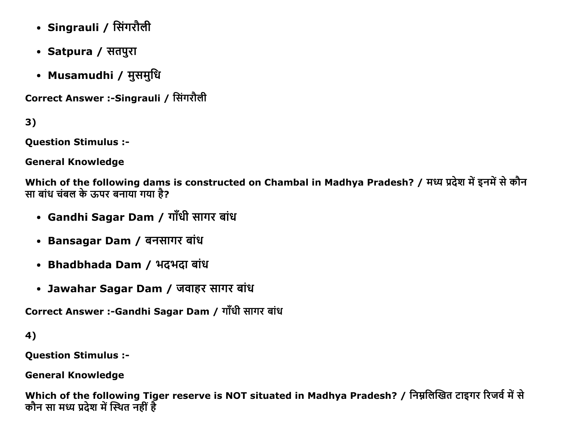- Singrauli / सिंगरौली
- Satpura / सतपुरा
- Musamudhi / मुसमुधि

Correct Answer :-Singrauli / सिंगरौली

3)

Question Stimulus :

General Knowledge

Which of the following dams is constructed on Chambal in Madhya Pradesh? / मध्य प्रदेश में इनमें से कौन सा बांध चंबल के ऊपर बनाया गया है?

- Gandhi Sagar Dam / गाँधी सागर बांध
- Bansagar Dam / बनसागर बांध
- Bhadbhada Dam / भदभदा बांध
- Jawahar Sagar Dam / जवाहर सागर बांध

Correct Answer :-Gandhi Sagar Dam / गाँधी सागर बांध

4)

Question Stimulus :

General Knowledge

Which of the following Tiger reserve is NOT situated in Madhya Pradesh? / निम्नलिखित टाइगर रिजर्व में से कौन सा मध्य प्रदेश में स्थित नहीं है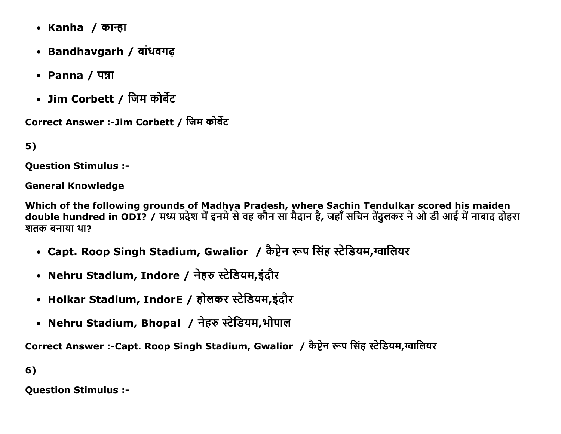- Kanha *।* कान्हा
- Bandhavgarh / बांधवगढ
- $\cdot$  Panna /  $\overline{q}$
- Jim Corbett / जिम कोर्बेट

Correct Answer :-Jim Corbett / जिम कोर्बेट

5)

Question Stimulus :

General Knowledge

Which of the following grounds of Madhya Pradesh, where Sachin Tendulkar scored his maiden double hundred in ODI? / मध्य प्रदेश में इनमे से वह कौन सा मैदान है, जहाँ सचिन तेंदुलकर ने ओ डी आई में नाबाद दोहरा शतक बनाया था?

- Capt. Roop Singh Stadium, Gwalior / कैप्टेन रूप सिंह स्टेडियम,ग्वालियर
- Nehru Stadium, Indore / नेहरु स्टेडियम,इंदौर
- Holkar Stadium, IndorE / होलकर स्टेडियम,इंदौर
- Nehru Stadium, Bhopal ⁄ नेहरु स्टेडियम,भोपाल

Correct Answer :-Capt. Roop Singh Stadium, Gwalior / कैप्टेन रूप सिंह स्टेडियम,ग्वालियर

6)

Question Stimulus :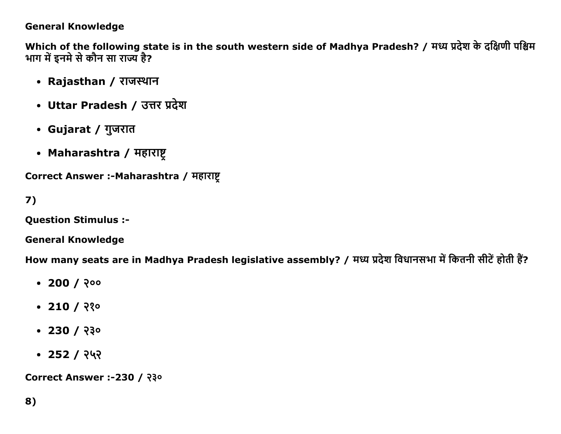## **General Knowledge**

Which of the following state is in the south western side of Madhya Pradesh? / मध्य प्रदेश के दक्षिणी पश्चिम भाग में इनमे से कौन सा राज्य है?

- Rajasthan / राजस्थान
- Uttar Pradesh / उत्तर प्रदेश
- Gujarat / गुजरात
- Maharashtra / महाराष्ट्

Correct Answer :- Maharashtra / महाराष्ट

 $7)$ 

**Question Stimulus :-**

**General Knowledge** 

How many seats are in Madhya Pradesh legislative assembly? / मध्य प्रदेश विधानसभा में कितनी सीटें होती हैं?

- $\cdot$  200 / २००
- $\cdot$  210 / २१०
- $\cdot$  230 / २३०
- $\cdot$  252 / २५२

Correct Answer :-230 / २३०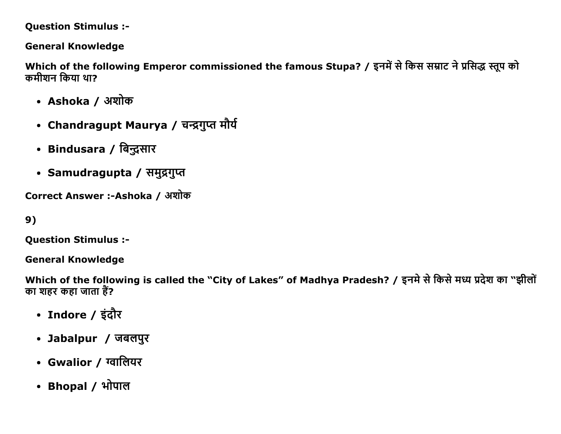### **Question Stimulus :-**

## **General Knowledge**

Which of the following Emperor commissioned the famous Stupa? / इनमें से किस सम्राट ने प्रसिद्ध स्तूप को कमीशन किया था?

- Ashoka / अशोक
- Chandragupt Maurya / चन्द्रगुप्त मौर्य
- Bindusara / बिन्दुसार
- Samudragupta / समुद्रगुप्त

Correct Answer :-Ashoka / अशोक

```
9)
```
**Question Stimulus :-**

**General Knowledge** 

Which of the following is called the "City of Lakes" of Madhya Pradesh? / इनमे से किसे मध्य प्रदेश का "झीलों का शहर कहा जाता हैं?

- Indore / इंदौर
- Jabalpur / जबलपुर
- Gwalior / ग्वालियर
- Bhopal / भोपाल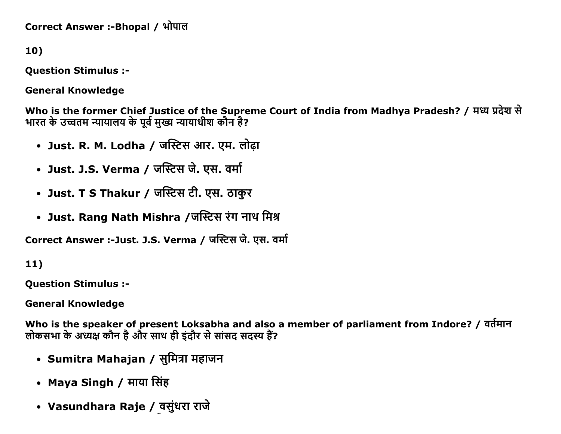Correct Answer :-Bhopal / भोपाल

10)

**Question Stimulus :-**

**General Knowledge** 

Who is the former Chief Justice of the Supreme Court of India from Madhya Pradesh? / मध्य प्रदेश से भारत के उच्चतम न्यायालय के पूर्व मुख्य न्यायाधीश कौन है?

- Just. R. M. Lodha / जस्टिस आर. एम. लोढ़ा
- Just. J.S. Verma / जस्टिस जे. एस. वर्मा
- Just. T S Thakur / जस्टिस टी. एस. ठाकुर
- Just. Rang Nath Mishra /जस्टिस रंग नाथ मिश्र

Correct Answer :-Just. J.S. Verma / जस्टिस जे. एस. वर्मा

 $11)$ 

**Ouestion Stimulus :-**

**General Knowledge** 

Who is the speaker of present Loksabha and also a member of parliament from Indore? / वर्तमान लोकसभा के अध्यक्ष कौन है और साथ ही इंदौर से सांसद सदस्य हैं?

- Sumitra Mahajan / सुमित्रा महाजन
- Maya Singh / माया सिंह
- Vasundhara Raje / वसुंधरा राजे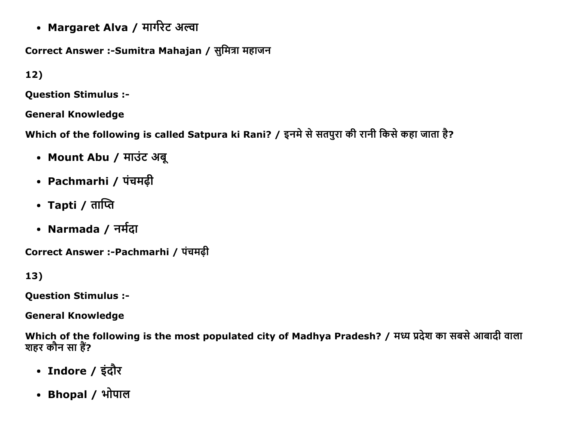• Margaret Alva / मार्गरेट अल्वा

Correct Answer :-Sumitra Mahajan / सुमित्रा महाजन

 $12)$ 

**Question Stimulus :-**

**General Knowledge** 

Which of the following is called Satpura ki Rani? / इनमे से सतपुरा की रानी किसे कहा जाता है?

- Mount Abu / माउंट अबू
- Pachmarhi / पंचमढ़ी
- Tapti / ताप्ति
- Narmada / नर्मदा

Correct Answer :-Pachmarhi / पंचमढ़ी

 $13)$ 

**Question Stimulus :-**

**General Knowledge** 

Which of the following is the most populated city of Madhya Pradesh? / मध्य प्रदेश का सबसे आबादी वाला शहर कौन सा हैं?

- Indore / इंदौर
- Bhopal / भोपाल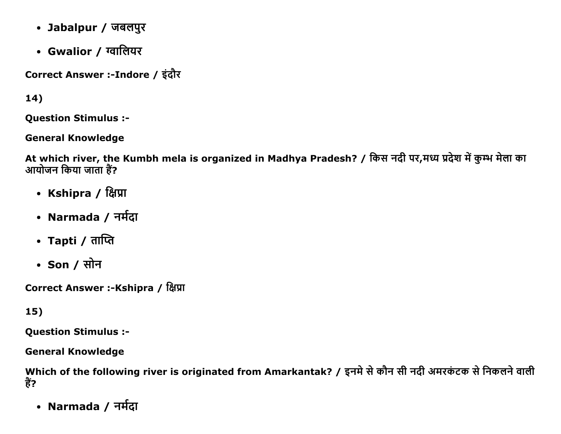- Jabalpur / जबलपुर
- Gwalior / ग्वालियर

Correct Answer :-Indore / इंदौर

 $14)$ 

**Question Stimulus :-**

**General Knowledge** 

At which river, the Kumbh mela is organized in Madhya Pradesh? / किस नदी पर,मध्य प्रदेश में कुम्भ मेला का आयोजन किया जाता हैं?

- Kshipra / क्षिप्रा
- Narmada / नर्मदा
- Tapti / ताप्ति
- Son / सोन

Correct Answer :-Kshipra / क्षिप्रा

15)

**Question Stimulus :-**

**General Knowledge** 

Which of the following river is originated from Amarkantak? / इनमे से कौन सी नदी अमरकंटक से निकलने वाली हैं?

• Narmada / नर्मदा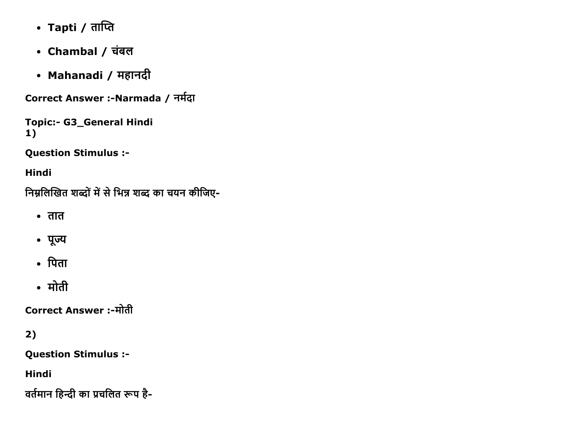- Tapti / ताप्ति
- Chambal / चंबल
- Mahanadi / महानदी

Correct Answer :-Narmada / नर्मदा

Topic:- G3\_General Hindi 1)

Question Stimulus :

Hindi

निम्नलिखित शब्दों में से भिन्न शब्द का चयन कीजिए-

- $\bullet$  तात
- पूज्य
- पिता
- मोती

Correct Answer :-मोती

2)

Question Stimulus :

Hindi

वर्तमान हिन्दी का प्रचलित रूप है-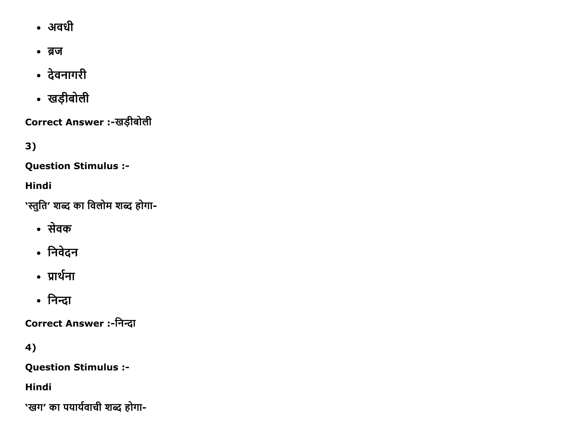- अवधी
- ब्रज
- देवनागरी
- खड़ीबोली

Correct Answer :-खड़ीबोली

 $3)$ 

**Question Stimulus :-**

Hindi

'स्तुति' शब्द का विलोम शब्द होगा-

- सेवक
- निवेदन
- प्रार्थना
- निन्दा

Correct Answer :-निन्दा

4)

**Question Stimulus :-**

Hindi

'खग' का पयार्यवाची शब्द होगा-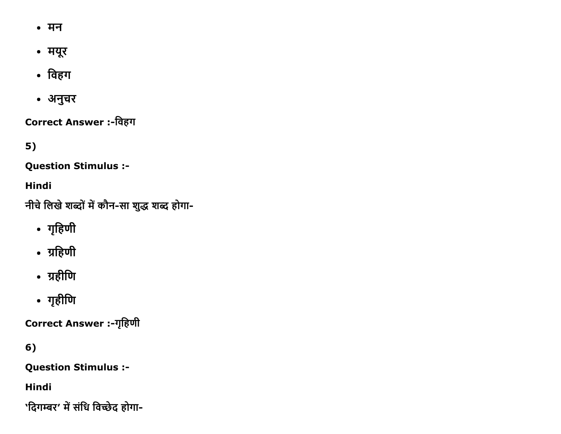- मन
- मयूर
- विहग
- अनुचर

Correct Answer :-विहग

 $5)$ 

**Question Stimulus :-**

Hindi

नीचे लिखे शब्दों में कौन-सा शुद्ध शब्द होगा-

- गृहिणी
- ग्रहिणी
- ग्रहीणि
- गृहीणि

Correct Answer :-गृहिणी

 $6)$ 

**Question Stimulus :-**

Hindi

'दिगम्बर' में संधि विच्छेद होगा-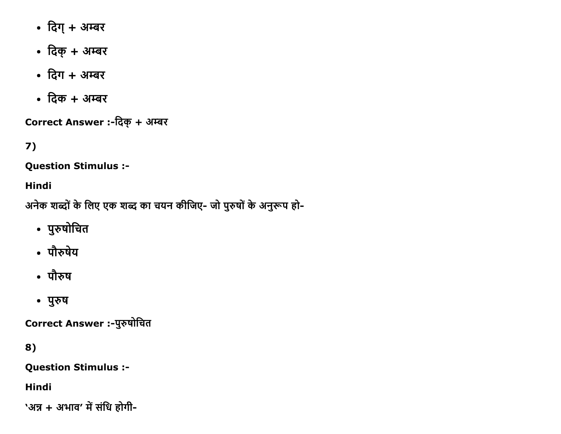- दिग् + अम्बर
- दिक् + अम्बर
- दिग + अम्बर
- दिक + अम्बर

Correct Answer :-दिक् + अम्बर

## $7)$

**Question Stimulus :-**

Hindi

अनेक शब्दों के लिए एक शब्द का चयन कीजिए- जो पुरुषों के अनुरूप हो-

- पुरुषोचित
- पौरुषेय
- पौरुष
- पुरुष

Correct Answer :- पुरुषोचित

8)

**Question Stimulus :-**

**Hindi** 

'अन्न + अभाव' में संधि होगी-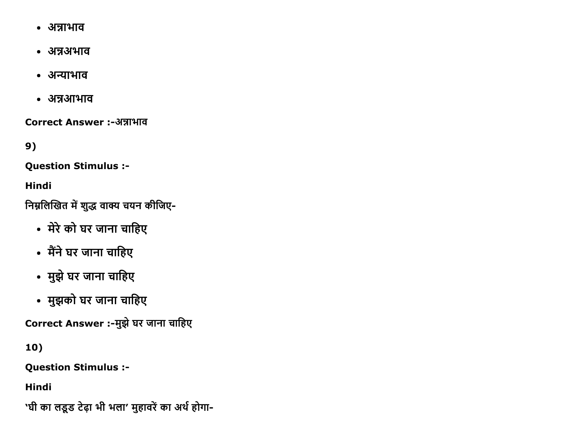- अन्नाभाव
- अन्नअभाव
- अन्याभाव
- अन्नआभाव

Correct Answer :-अन्नाभाव

 $9)$ 

**Question Stimulus :-**

**Hindi** 

निम्नलिखित में शुद्ध वाक्य चयन कीजिए-

- मेरे को घर जाना चाहिए
- मैंने घर जाना चाहिए
- मुझे घर जाना चाहिए
- मुझको घर जाना चाहिए

Correct Answer :-मुझे घर जाना चाहिए

10)

**Question Stimulus :-**

**Hindi** 

'घी का लडूड टेढ़ा भी भला' मुहावरें का अर्थ होगा-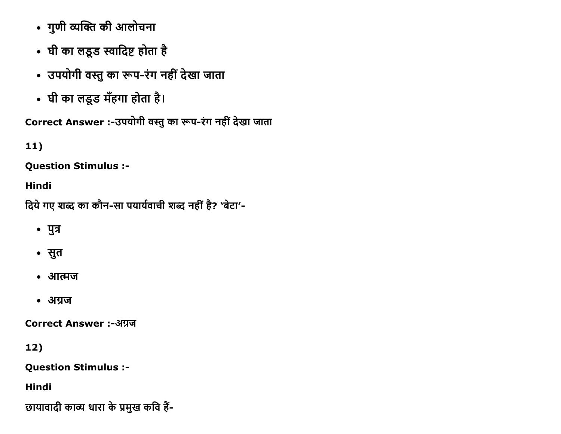- गुणी व्यक्ति की आलोचना
- घी का लडूड स्वादिष्ट होता है
- उपयोगी वस्तु का रूप-रंग नहीं देखा जाता
- घी का लडूड मँहगा होता है।

Correct Answer :-उपयोगी वस्तु का रूप-रंग नहीं देखा जाता

 $11)$ 

**Question Stimulus :-**

**Hindi** 

दिये गए शब्द का कौन-सा पयार्यवाची शब्द नहीं है? 'बेटा'-

- पुत्र
- सुत
- आत्मज
- अग्रज

**Correct Answer:-अग्रज** 

 $12)$ 

**Question Stimulus :-**

**Hindi** 

छायावादी काव्य धारा के प्रमुख कवि हैं-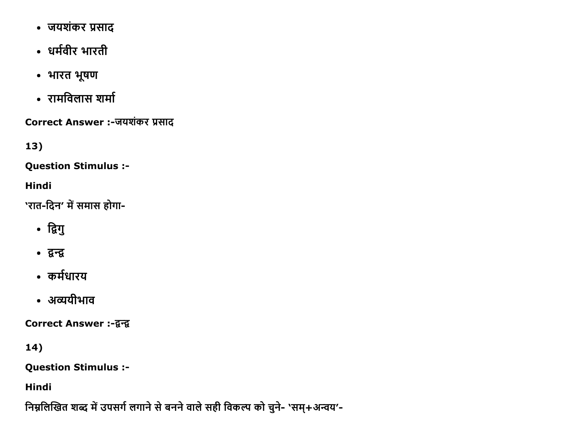- जयशंकर प्रसाद
- धर्मवीर भारती
- भारत भूषण
- रामविलास शर्मा

Correct Answer :-जयशंकर प्रसाद

 $13)$ 

**Question Stimulus :-**

**Hindi** 

'रात-दिन' में समास होगा-

- द्विगु
- द्वन्द्व
- कर्मधारय
- अव्ययीभाव

Correct Answer :-द्वन्द्व

14)

**Question Stimulus :-**

Hindi

निम्नलिखित शब्द में उपसर्ग लगाने से बनने वाले सही विकल्प को चुने- 'सम्+अन्वय'-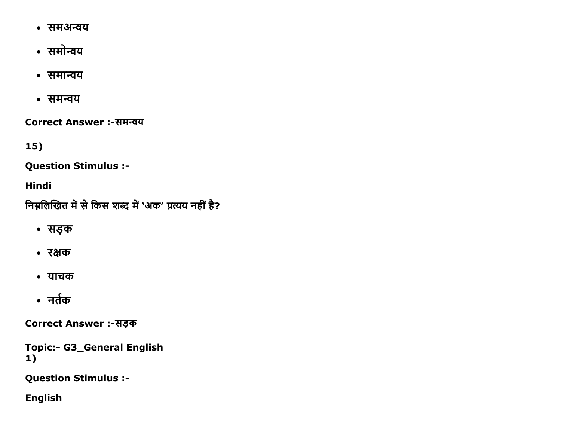- समअन्वय
- समोन्वय
- समान्वय
- समन्वय

Correct Answer :-समन्वय

15)

**Question Stimulus :-**

Hindi

निम्नलिखित में से किस शब्द में 'अक' प्रत्यय नहीं है?

- सड़क
- रक्षक
- याचक
- नर्तक

Correct Answer :-सड़क

**Topic:- G3\_General English**  $1)$ 

**Question Stimulus :-**

**English**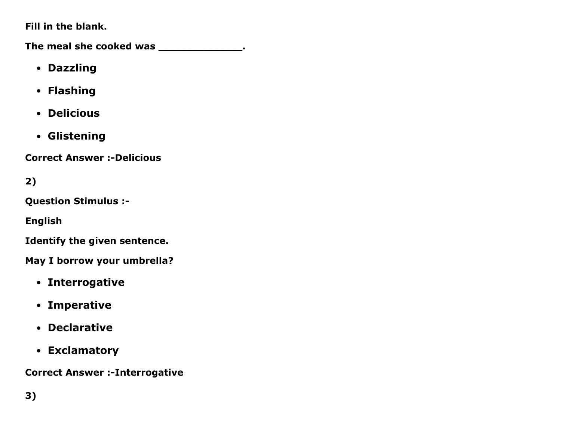Fill in the blank.

The meal she cooked was \_\_\_\_\_\_\_\_\_\_\_\_\_\_\_.

- Dazzling
- Flashing
- Delicious
- Glistening

**Correct Answer :-Delicious** 

2)

Question Stimulus :

English

Identify the given sentence.

May I borrow your umbrella?

- Interrogative
- Imperative
- Declarative
- Exclamatory

**Correct Answer :- Interrogative**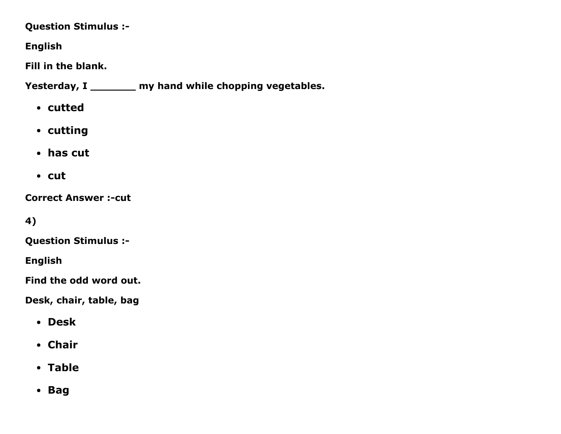## Question Stimulus :

## English

Fill in the blank.

Yesterday, I \_\_\_\_\_\_\_ my hand while chopping vegetables.

- cutted
- cutting
- has cut
- cut

**Correct Answer :- cut** 

4)

Question Stimulus :

English

Find the odd word out.

Desk, chair, table, bag

- Desk
- Chair
- Table
- Bag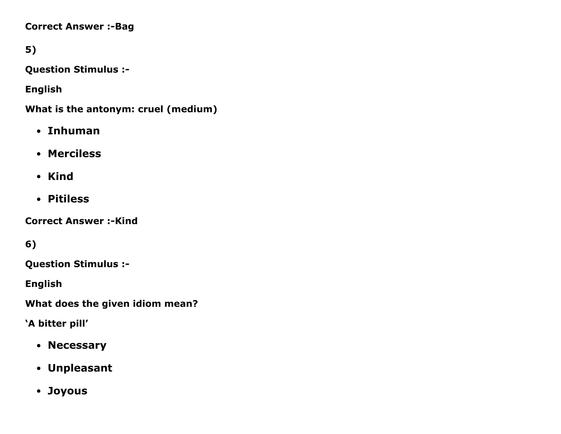#### **Correct Answer :- Bag**

## 5)

Question Stimulus :

English

What is the antonym: cruel (medium)

- Inhuman
- Merciless
- Kind
- Pitiless

**Correct Answer :-Kind** 

6)

Question Stimulus :

English

What does the given idiom mean?

'A bitter pill'

- Necessary
- Unpleasant
- Joyous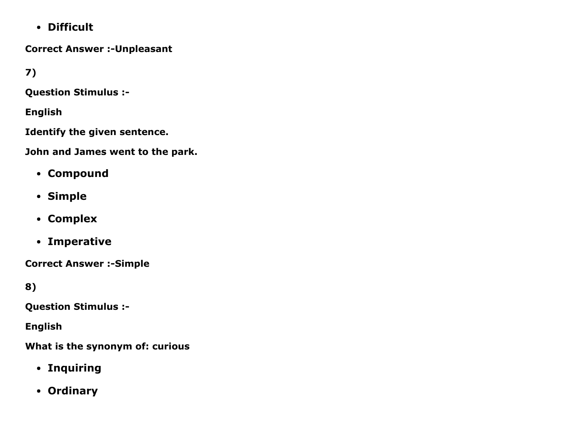Difficult

**Correct Answer :- Unpleasant** 

7)

Question Stimulus :

English

Identify the given sentence.

John and James went to the park.

- Compound
- Simple
- Complex
- Imperative

**Correct Answer :- Simple** 

8)

Question Stimulus :

English

What is the synonym of: curious

- Inquiring
- Ordinary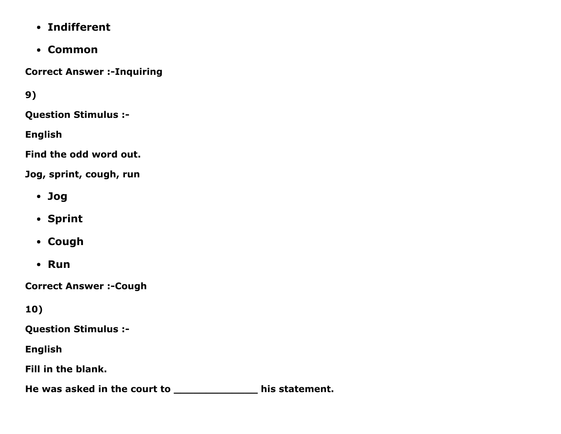- Indifferent
- Common

**Correct Answer :- Inquiring** 

9)

Question Stimulus :

English

Find the odd word out.

Jog, sprint, cough, run

- Jog
- Sprint
- Cough
- Run

**Correct Answer :- Cough** 

10)

Question Stimulus :

English

Fill in the blank.

He was asked in the court to \_\_\_\_\_\_\_\_\_\_\_\_\_\_\_\_ his statement.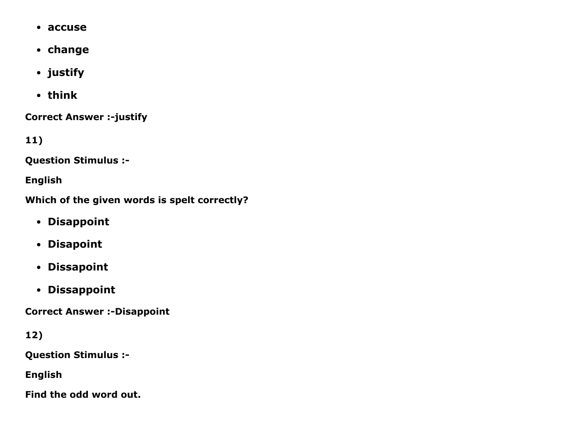- accuse
- change
- justify
- think

**Correct Answer :-justify** 

11)

Question Stimulus :

English

Which of the given words is spelt correctly?

- Disappoint
- Disapoint
- Dissapoint
- Dissappoint

**Correct Answer :- Disappoint** 

12)

Question Stimulus :

English

Find the odd word out.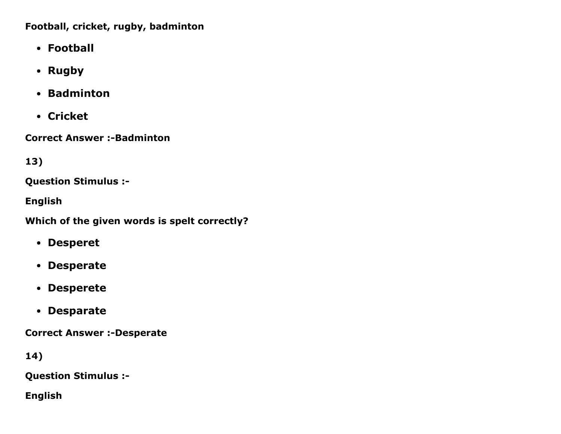Football, cricket, rugby, badminton

- Football
- Rugby
- Badminton
- Cricket

**Correct Answer :- Badminton** 

13)

Question Stimulus :

English

Which of the given words is spelt correctly?

- Desperet
- Desperate
- Desperete
- Desparate

**Correct Answer :-Desperate** 

14)

Question Stimulus :

English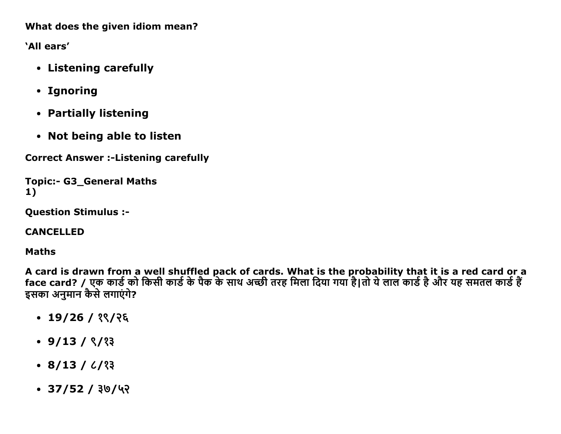What does the given idiom mean?

'All ears'

- Listening carefully
- Ignoring
- Partially listening
- Not being able to listen

**Correct Answer :- Listening carefully** 

```
Topic:- G3 General Maths
1)
```
**Question Stimulus :-**

**CANCELLED** 

**Maths** 

A card is drawn from a well shuffled pack of cards. What is the probability that it is a red card or a<br>face card? / एक कार्ड को किसी कार्ड के पैक के साथ अच्छी तरह मिला दिया गया है।तो ये लाल कार्ड है और यह समतल कार्ड हैं इसका अनुमान कैसे लगाएंगे?

- $\cdot$  19/26 / १९/२६
- $\cdot$  9/13 /  $\frac{8}{3}$
- $\cdot$  8/13 / 6/23
- $\cdot$  37/52 / ३७/५२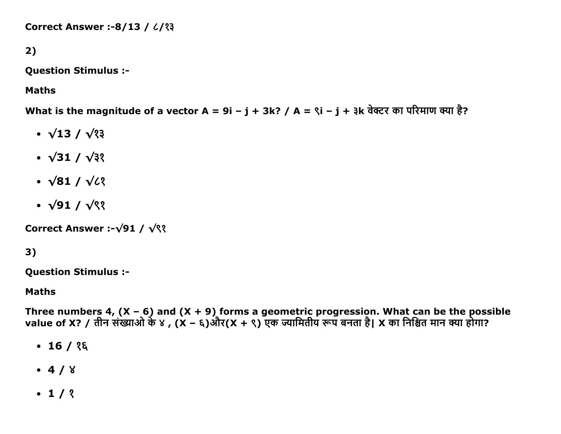Correct Answer :-8/13 /  $\frac{2}{3}$ 

## 2)

Question Stimulus :

Maths

What is the magnitude of a vector A = 9i – j + 3k? / A =  $\gamma$ i – j + ३k वेक्टर का परिमाण क्या है?

- $\cdot \sqrt{13} / \sqrt{33}$
- $\cdot \sqrt{31} / \sqrt{32}$
- $\cdot \sqrt{81} / \sqrt{2}$
- $\cdot \sqrt{91} / \sqrt{9}$

Correct Answer :-√91 / √९१

## 3)

Question Stimulus :

#### Maths

Three numbers 4, (X – 6) and (X + 9) forms a geometric progression. What can be the possible value of X? / तीन संख्याओं के ४ , (X – ६)और(X + ९) एक ज्यामितीय रूप बनता है| X का निश्चित मान क्या होगा?

- $\cdot$  16 /  $35$
- $-4/8$
- $-1/3$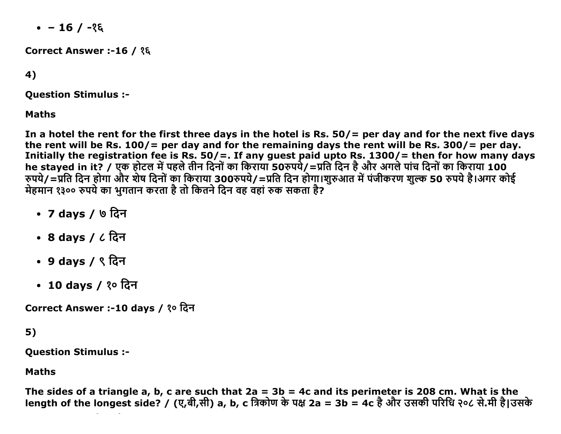$-16/ - 26$ 

Correct Answer :-16 / १६

4)

**Ouestion Stimulus :-**

**Maths** 

In a hotel the rent for the first three days in the hotel is Rs.  $50/$  = per day and for the next five days the rent will be Rs.  $100/$  = per day and for the remaining days the rent will be Rs. 300/ = per day. Initially the registration fee is Rs. 50/=. If any guest paid upto Rs.  $1300/$  = then for how many days he stayed in it? / एक होटल में पहले तीन दिनों का किराया 50रुपये/=प्रति दिन है और अगले पांच दिनों का किराया 100 रुपये/=प्रति दिन होगा और शेष दिनों का किराया 300रुपये/=प्रति दिन होगा।शुरुआत में पंजीकरण शुल्क 50 रुपये है।अगर कोई मेहमान १३०० रुपये का भुगतान करता है तो कितने दिन वह वहां रुक सकता है?

- 7 days / ७ दिन
- 8 days /  $6$  दिन
- 9 days / ९ दिन
- 10 days / १० दिन

Correct Answer :-10 days / १० दिन

 $5)$ 

**Question Stimulus :-**

**Maths** 

The sides of a triangle a, b, c are such that  $2a = 3b = 4c$  and its perimeter is 208 cm. What is the length of the longest side? / (ए,बी,सी) a, b, c त्रिकोण के पक्ष 2a = 3b = 4c है और उसकी परिधि २०८ से.मी है।उसके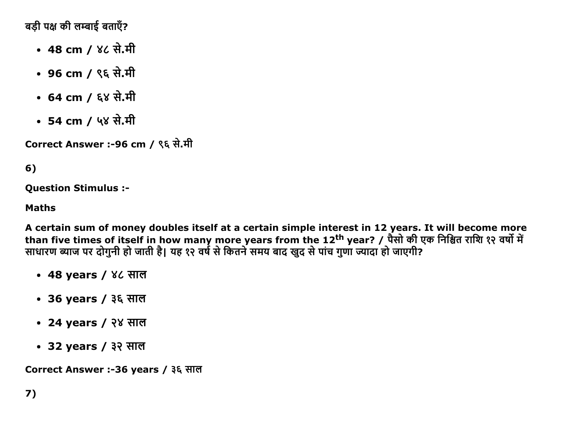बड़ी पक्ष की लम्बाई बताएँ?

- 48 cm / ४८ से.मी
- 96 cm / ९६ से.मी
- 64 cm / ६४ से.मी
- 54 cm / ५४ से.मी

Correct Answer :-96 cm / ९६ से.मी

## 6)

**Question Stimulus :-**

### **Maths**

A certain sum of money doubles itself at a certain simple interest in 12 years. It will become more than five times of itself in how many more years from the 12<sup>th</sup> year? / पैसो की एक निश्चित राशि १२ वर्षो में साधारण ब्याज पर दोगुनी हो जाती है। यह १२ वर्ष से कितने समय बाद खुद से पांच गुणा ज्यादा हो जाएगी?

- 48 years / ४८ साल
- 36 years / ३६ साल
- 24 years / २४ साल
- 32 years / ३२ साल

Correct Answer :-36 years / ३६ साल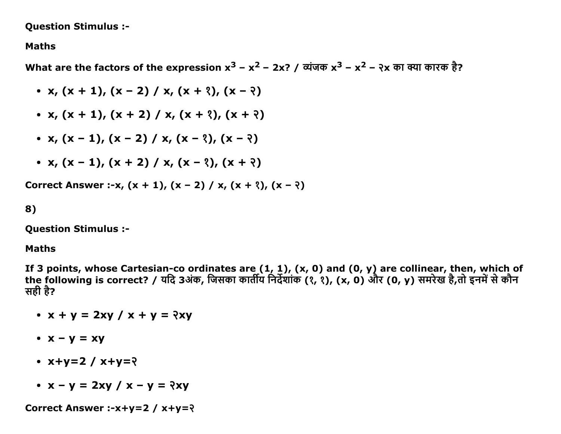Question Stimulus :

#### Maths

What are the factors of the expression  $x^3 - x^2 - 2x$ ? / व्यंजक  $x^3 - x^2 - 3x$  का क्या कारक है?

\n- $$
x, (x + 1), (x - 2) / x, (x + 2), (x - 2)
$$
\n- $x, (x + 1), (x + 2) / x, (x + 2), (x + 2)$
\n- $x, (x - 1), (x - 2) / x, (x - 2), (x - 2)$
\n- $x, (x - 1), (x + 2) / x, (x - 2), (x + 2)$
\n
\nCorrect Answer: - $x, (x + 1), (x - 2) / x, (x + 2), (x - 2)$ 

8)

Question Stimulus :

#### Maths

If 3 points, whose Cartesian-co ordinates are (1, 1), (x, 0) and (0, y) are collinear, then, which of the following is correct? / यदि 3अक, जिसका कार्तीय निर्देशाक (१, १), (x, 0) और (0, y) समरेख है,तो इनमें से कौन सही है?

- $x + y = 2xy / x + y = 2xy$
- $\bullet$   $x y = xy$
- $\cdot$  x+y=2 / x+y= $\frac{2}{3}$
- $x y = 2xy / x y = 2xy$

Correct Answer :- $x+y=2 / x+y=2$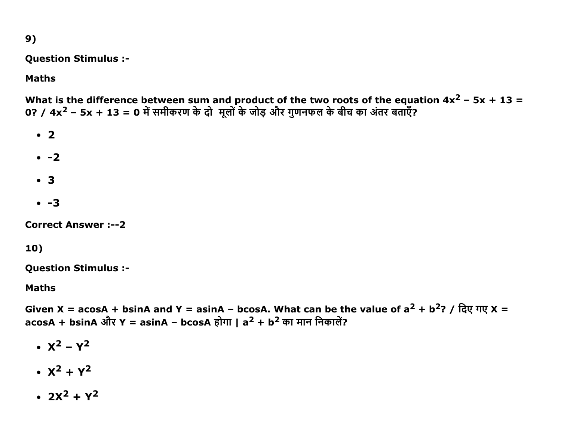$9)$ 

**Question Stimulus :-**

## **Maths**

What is the difference between sum and product of the two roots of the equation  $4x^2 - 5x + 13 = 0$ ? /  $4x^2 - 5x + 13 = 0$  में समीकरण के दो मूलों के जोड़ और गुणनफल के बीच का अंतर बताएँ?

- $\cdot$  2
- $\cdot$  -2
- $\cdot$  3
- $\cdot$  -3

**Correct Answer :-- 2** 

## 10)

**Question Stimulus :-**

**Maths** 

Given X = acosA + bsinA and Y = asinA - bcosA. What can be the value of  $a^2 + b^2$ ? / दिए गए X = acosA + bsinA और Y = asinA - bcosA होगा | a<sup>2</sup> + b<sup>2</sup> का मान निकालें?

- $X^2 Y^2$
- $X^2 + Y^2$
- $\cdot$  2x<sup>2</sup> + y<sup>2</sup>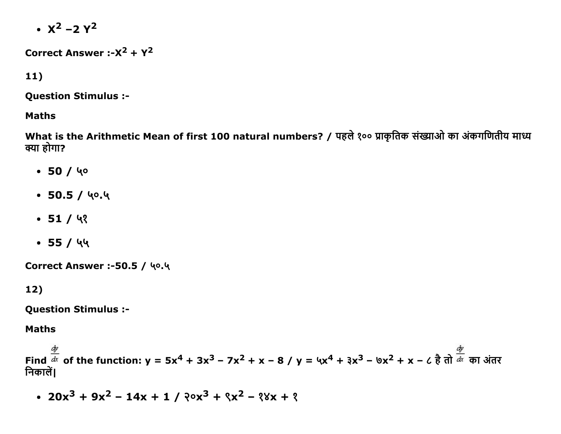$\cdot$   $x^2 - 2y^2$ 

Correct Answer :- $X^2 + Y^2$ 

 $11)$ 

**Question Stimulus :-**

#### **Maths**

What is the Arithmetic Mean of first 100 natural numbers? / पहले १०० प्राकृतिक संख्याओ का अंकगणितीय माध्य क्या होगा?

- $-50/40$
- $\cdot$  50.5 / ५०.५
- $-51/93$
- $\bullet$  55 / ५५

Correct Answer :-50.5 / ५०.५

 $12)$ 

**Question Stimulus :-**

**Maths** 

Find  $\frac{\dot{\phi}}{dx}$  of the function:  $y = 5x^4 + 3x^3 - 7x^2 + x - 8$  /  $y = 4x^4 + 3x^3 - 8x^2 + x - 6$  है तो  $\frac{dy}{dx}$  का अंतर निकालें।

•  $20x^3 + 9x^2 - 14x + 1 / 20x^3 + 8x^2 - 88x + 8$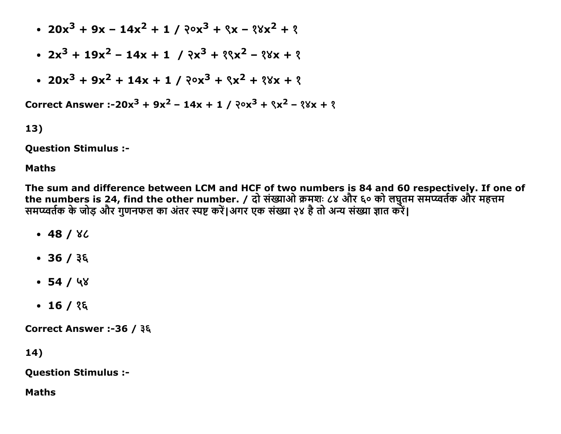- $20x^3 + 9x 14x^2 + 1 / 20x^3 + 8x 88x^2 + 8$
- $2x^3 + 19x^2 14x + 1$  /  $3x^3 + 8x^2 8x + 8$
- $20x^3 + 9x^2 + 14x + 1 / 20x^3 + 8x^2 + 8x + 8$

Correct Answer: -20x<sup>3</sup> + 9x<sup>2</sup> - 14x + 1 /  $20x^3 + 8x^2 - 8x + 8$ 

13)

**Question Stimulus :-**

### **Maths**

The sum and difference between LCM and HCF of two numbers is 84 and 60 respectively. If one of the numbers is 24, find the other number. / दो संख्याओ क्रमशः ८४ और ६० को लघुतम समप्य्वर्तक और महत्तम समप्य्वर्तक के जोड़ और गुणनफल का अंतर स्पष्ट करें।अगर एक संख्या २४ है तो अन्य संख्या ज्ञात करें।

- $-48/82$
- $36 / 36$
- $-54/48$
- $\cdot$  16 / १६

Correct Answer :-36 / ३६

14)

**Question Stimulus :-**

**Maths**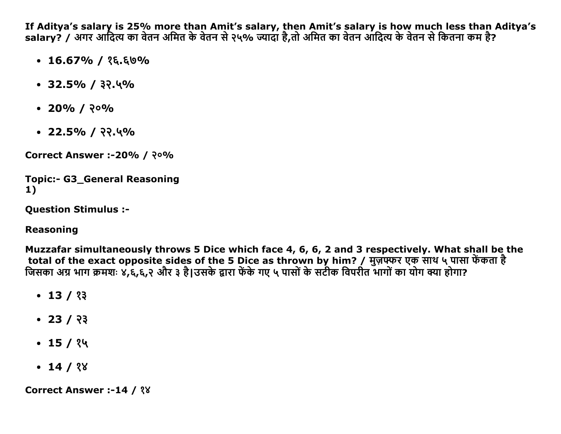If Aditya's salary is 25% more than Amit's salary, then Amit's salary is how much less than Aditya's salary? / अगर आदित्य का वेतन अमित के वेतन से २५% ज्यादा है,तो अमित का वेतन आदित्य के वेतन से कितना कम है?

- $\cdot$  16.67% / १६.६७%
- $\cdot$  32.5% / ३२.५%
- $\cdot$  20% / २०%
- $\cdot$  22.5% / २२.५%

**Correct Answer :-20% / २०%** 

```
Topic:- G3 General Reasoning
1)
```
**Question Stimulus :-**

**Reasoning** 

Muzzafar simultaneously throws 5 Dice which face 4, 6, 6, 2 and 3 respectively. What shall be the total of the exact opposite sides of the 5 Dice as thrown by him? / मुज़फ्फर एक साथ ५ पासा फेंकता है जिसका अग्र भाग क्रमशः ४,६,६,२ और ३ है।उसके द्वारा फेंके गए ५ पासों के सटीक विपरीत भागों का योग क्या होगा?

- $\cdot$  13 / १३
- $\cdot$  23 / २३
- $\cdot$  15 / १५
- $\cdot$  14 / १४

**Correct Answer :-14 / ?8**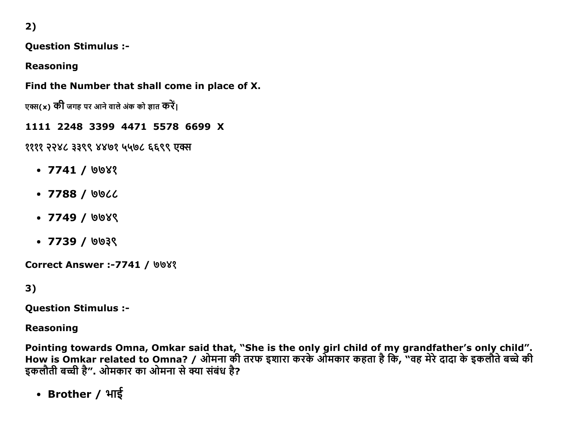2)

**Question Stimulus :-**

**Reasoning** 

Find the Number that shall come in place of X.

एक्स(x) की जगह पर आने वाले अंक को ज्ञात करें।

1111 2248 3399 4471 5578 6699 X

११११ २२४८ ३३९९ ४४७१ ५५७८ ६६९९ एक्स

- $\bullet$  7741 / ৩৩४१
- $\cdot$  7788 / ७७८८
- $\bullet$  7749 / ७७४९
- $\cdot$  7739 / 0039

**Correct Answer :-7741 / 008?** 

 $3)$ 

**Ouestion Stimulus :-**

**Reasoning** 

Pointing towards Omna, Omkar said that, "She is the only girl child of my grandfather's only child".<br>How is Omkar related to Omna? / ओमना की तरफ इशारा करके ओमकार कहता है कि, "वह मेरे दादा के इकलौते बच्चे की इकलौती बच्ची है". ओमकार का ओमना से क्या संबंध है?

• Brother / भाई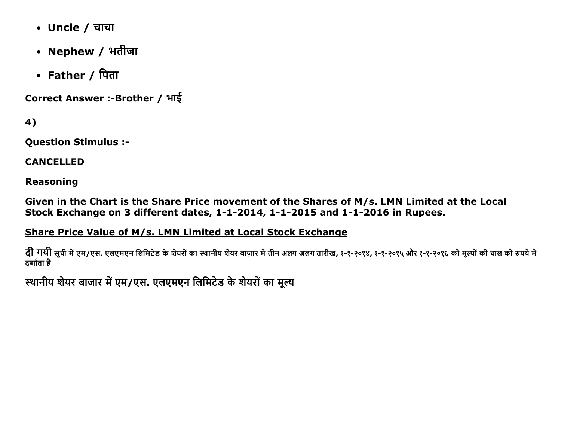- Uncle / चाचा
- Nephew / भतीजा
- Father / पिता

Correct Answer :- Brother / भाई

4)

**Question Stimulus :-**

**CANCELLED** 

**Reasoning** 

Given in the Chart is the Share Price movement of the Shares of M/s. LMN Limited at the Local Stock Exchange on 3 different dates, 1-1-2014, 1-1-2015 and 1-1-2016 in Rupees.

Share Price Value of M/s. LMN Limited at Local Stock Exchange

दी गयी सूची में एम/एस. एलएमएन लिमिटेड के शेयरों का स्थानीय शेयर बाज़ार में तीन अलग अलग तारीख, १-१-२०१४, १-१-२०१५ और १-१-२०१६ को मूल्यों की चाल को रुपये में दर्शाता है

स्थानीय शेयर बाजार में एम/एस. एलएमएन लिमिटेड के शेयरों का मुल्य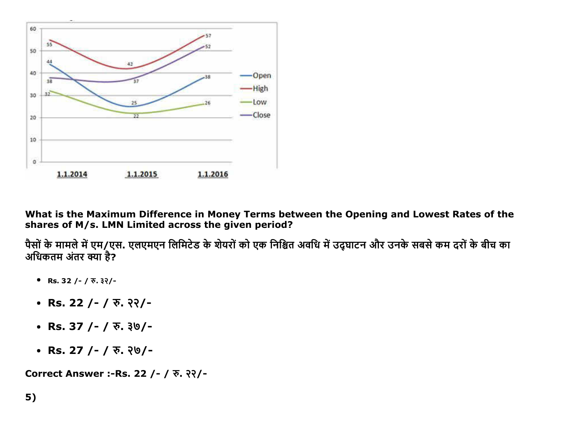

What is the Maximum Difference in Money Terms between the Opening and Lowest Rates of the shares of M/s. LMN Limited across the given period?

पैसों के मामले में एम/एस. एलएमएन लिमिटेड के शेयरों को एक निश्चित अवधि में उद्घाटन और उनके सबसे कम दरों के बीच का अधिकतम अंतर क्या है?

- Rs. 32 / /  $\overline{x}$ . 32/-
- Rs. 22 / /  $\overline{v}$ . ??/ -
- Rs. 37 /- /  $\overline{v}$ . 30/-
- Rs. 27 / /  $\overline{v}$ .  $\frac{1}{2}$  / -

Correct Answer :- Rs. 22 / - / रु. २२/-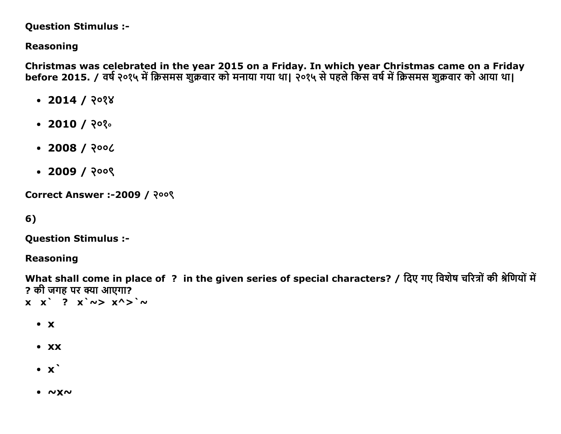#### **Question Stimulus :-**

## **Reasoning**

Christmas was celebrated in the year 2015 on a Friday. In which year Christmas came on a Friday before 2015. / वर्ष २०१५ में क्रिसमस शुक्रवार को मनाया गया था। २०१५ से पहले किस वर्ष में क्रिसमस शुक्रवार को आया था।

- $\cdot$  2014 / २०१४
- $\cdot$  2010 / २०१०
- $\cdot$  2008 / २००८
- $\cdot$  2009 / २००९

**Correct Answer :-2009 / २००९** 

6)

**Question Stimulus :-**

**Reasoning** 

What shall come in place of ? in the given series of special characters? / दिए गए विशेष चरित्रों की श्रेणियों में ? की जगह पर क्या आएगा?  $X X'$  ?  $X' \sim > X' >' \sim$ 

- $\bullet$  X
- $\bullet$  XX
- $\bullet$   $\mathbf{x}$
- $\bullet$   $\sim$  X $\sim$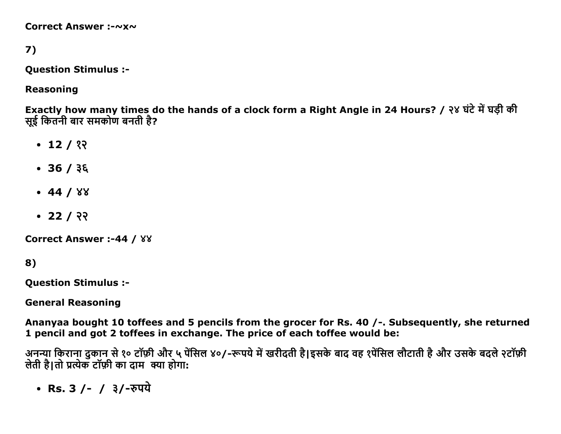Correct Answer :-~x~

# 7)

**Question Stimulus :-**

### **Reasoning**

Exactly how many times do the hands of a clock form a Right Angle in 24 Hours? / २४ घंटे में घड़ी की सई कितनी बार समकोण बनती है?

- $\cdot$  12 / १२
- $\cdot$  36 / ३६
- $-44/88$
- $\cdot$  22 / २२

**Correct Answer :-44 / 88** 

```
8)
```
**Ouestion Stimulus :-**

**General Reasoning** 

Ananyaa bought 10 toffees and 5 pencils from the grocer for Rs. 40 /-. Subsequently, she returned 1 pencil and got 2 toffees in exchange. The price of each toffee would be:

अनन्या किराना दुकान से १० टॉफ़ी और ५ पेंसिल ४०/-रूपये में खरीदती है।इसके बाद वह १पेंसिल लौटाती है और उसके बदले २टॉफ़ी लेती है।तो प्रत्येक टॉफ़ी का दाम क्या होगा:

• Rs. 3 / - / ३/-रुपये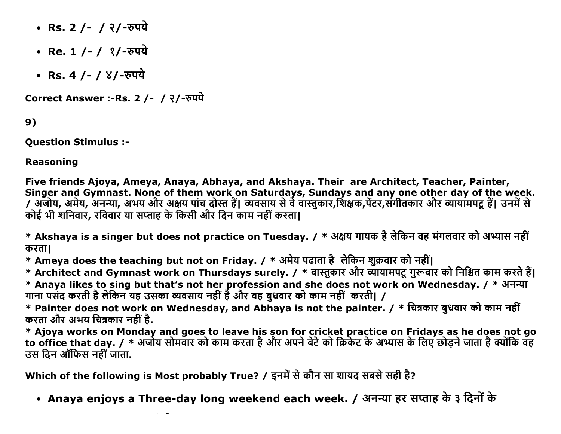- Rs. 2 /- / २/-रुपये
- Re. 1 / / १/-रुपये
- Rs. 4 / /  $8/$ -रुपये

Correct Answer :- Rs. 2 /- / २/-रुपये

9)

**Ouestion Stimulus :-**

**Reasoning** 

Five friends Ajoya, Ameya, Anaya, Abhaya, and Akshaya. Their are Architect, Teacher, Painter, Singer and Gymnast. None of them work on Saturdays, Sundays and any one other day of the week.<br>/ अजोय, अमेय, अनन्या, अभय और अक्षय पांच दोस्त हैं| व्यवसाय से वे वास्तुकार,शिक्षक,पेंटर,संगीतकार और व्यायामपटू हैं| उनमें से कोई भी शनिवार, रविवार या सप्ताह के किसी और दिन काम नहीं करता।

\* Akshaya is a singer but does not practice on Tuesday. / \* अक्षय गायक है लेकिन वह मंगलवार को अभ्यास नहीं करता।

\* Ameya does the teaching but not on Friday. / \* अमेय पढाता है लेकिन शुक्रवार को नहीं।

\* Architect and Gymnast work on Thursdays surely. / \* वास्तुकार और व्यायामपटू गुरूवार को निश्चित काम करते हैं।

\* Anaya likes to sing but that's not her profession and she does not work on Wednesday. / \* अनन्या गाना पसंद करती है लेकिन यह उसका व्यवसाय नहीं है और वह बुधवार को काम नहीं करती। /

\* Painter does not work on Wednesday, and Abhaya is not the painter. / \* चित्रकार बुधवार को काम नहीं करता और अभय चित्रकार नहीं है.

\* Ajoya works on Monday and goes to leave his son for cricket practice on Fridays as he does not go<br>to office that day. / \* अजोय सोमवार को काम करता है और अपने बेटे को क्रिकेट के अभ्यास के लिए छोड़ने जाता है क्योंकि वह उस दिन ऑफिस नहीं जाता.

Which of the following is Most probably True? / इनमें से कौन सा शायद सबसे सही है?

• Anaya enjoys a Three-day long weekend each week. / अनन्या हर सप्ताह के ३ दिनों के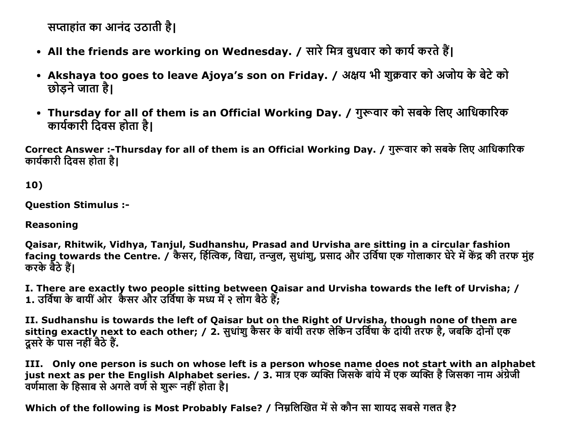सप्ताहांत का आनंद उठाती है।

- All the friends are working on Wednesday. / सारे मित्र बुधवार को कार्य करते हैं।
- Akshaya too goes to leave Ajoya's son on Friday. / अक्षय भी शुक्रवार को अजोय के बेटे को छोड़ने जाता है।
- Thursday for all of them is an Official Working Day. / गुरूवार को सबके लिए आधिकारिक कार्यकारी दिवस होता है।

Correct Answer :-Thursday for all of them is an Official Working Day. / गुरूवार को सबके लिए आधिकारिक कार्यकारी दिवस होता है।

10)

**Question Stimulus :-**

**Reasoning** 

Qaisar, Rhitwik, Vidhya, Tanjul, Sudhanshu, Prasad and Urvisha are sitting in a circular fashion facing towards the Centre. / कैसर, र्हित्विक, विद्या, तन्जुल, सुधांशु, प्रसाद और उर्विषा एक गोलाकार घेरे में केंद्र की तरफ मुंह करके बैठे हैं।

I. There are exactly two people sitting between Qaisar and Urvisha towards the left of Urvisha; / 1. उर्विषा के बायीं ओर कैंसर और उर्विषा के मध्य में २ लोग बैठे हैं:

II. Sudhanshu is towards the left of Qaisar but on the Right of Urvisha, though none of them are sitting exactly next to each other; / 2. सुधांशु कैसर के बांयी तरफ लेकिन उर्विषा के दांयी तरफ है, जबकि दोनों एक दसरे के पास नहीं बैठे हैं.

III. Only one person is such on whose left is a person whose name does not start with an alphabet just next as per the English Alphabet series. / 3. मात्र एक व्यक्ति जिसके बांये में एक व्यक्ति है जिसका नाम अंग्रेजी वर्णमाला के हिसाब से अगले वर्ण से शुरू नहीं होता है।

Which of the following is Most Probably False? / निम्नलिखित में से कौन सा शायद सबसे गलत है?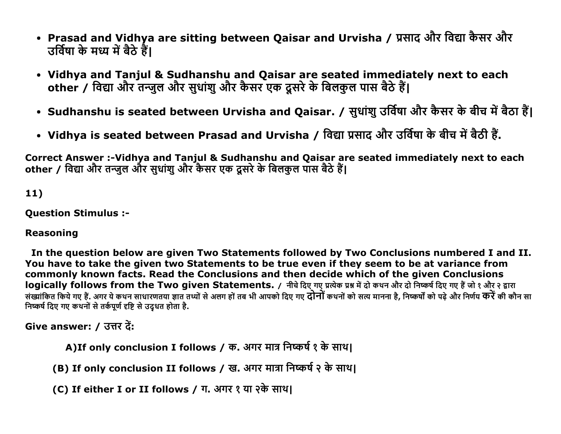- Prasad and Vidhya are sitting between Qaisar and Urvisha / प्रसाद और विद्या कैसर और उर्विषा के मध्य में बैठे हैं।
- Vidhya and Tanjul & Sudhanshu and Qaisar are seated immediately next to each other / विद्या और तन्जुल और सुधांशु और कैसर एक दूसरे के बिलकुल पास बैठे हैं।
- Sudhanshu is seated between Urvisha and Qaisar. / सुधांशु उर्विषा और कैसर के बीच में बैठा हैं।
- Vidhya is seated between Prasad and Urvisha / विद्या प्रसाद और उर्विषा के बीच में बैठी हैं.

Correct Answer :- Vidhya and Tanjul & Sudhanshu and Qaisar are seated immediately next to each other / विद्या और तन्जुल और सुधांशु और कैसर एक दूसरे के बिलकुल पास बैठे हैं।

### $11)$

**Question Stimulus :-**

### **Reasoning**

In the question below are given Two Statements followed by Two Conclusions numbered I and II. You have to take the given two Statements to be true even if they seem to be at variance from commonly known facts. Read the Conclusions and then decide which of the given Conclusions logically follows from the Two given Statements. / नीचे दिए गए प्रत्येक प्रश्न में दो कथन और दो निष्कर्ष दिए गए हैं जो १ और २ द्वारा संख्यांकित किये गए हैं. अगर ये कथन साधारणतया ज्ञात तथ्यों से अलग हों तब भी आपको दिए गए **दोनों** कथनों को सत्य मानना है. निष्कर्षों को पढे और निर्णय **करें** की कौन सा निष्कर्ष दिए गए कथनों से तर्कपूर्ण दृष्टि से उद्धत होता है.

```
Give answer: / उत्तर दें:
```
A)If only conclusion I follows / क. अगर मात्र निष्कर्ष १ के साथ।

(B) If only conclusion II follows / ख. अगर मात्रा निष्कर्ष २ के साथ।

(C) If either I or II follows / ग. अगर १ या २के साथ।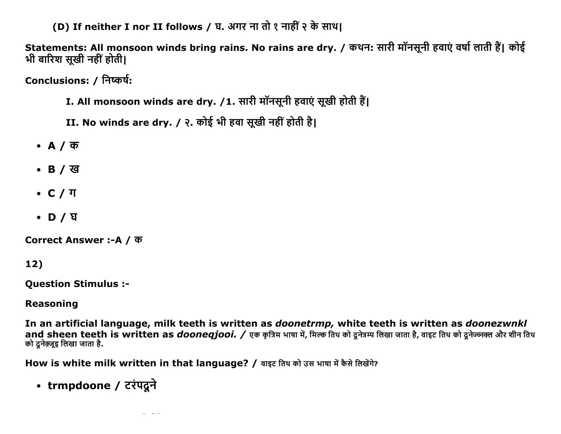(D) If neither I nor II follows / घ. अगर ना तो १ नाहीं २ के साथ।

Statements: All monsoon winds bring rains. No rains are dry. / कथन: सारी मॉनसूनी हवाएं वर्षा लाती हैं। कोई भी बारिश सुखी नहीं होती।

Conclusions: / निष्कर्ष:

- I. All monsoon winds are dry. /1. सारी मॉनसूनी हवाएं सूखी होती हैं।
- II. No winds are dry. / २. कोई भी हवा सूखी नहीं होती है।
- $\bullet$  A / क
- B / ख
- $\bullet$  C /  $\text{T}$
- D / घ

Correct Answer :-A / क

 $12)$ 

**Ouestion Stimulus :-**

### **Reasoning**

In an artificial language, milk teeth is written as *doonetrmp*, white teeth is written as *doonezwnkl* and sheen teeth is written as *doonegiooi. / एक कु*त्रिम भाषा में, मिल्क तिथ को दनेत्रम्प लिखा जाता है, वाइट तिथ को दनेज्जक्ल और शीन तिथ को दुनेक़्ज़ूइ लिखा जाता है.

How is white milk written in that language? / वाइट तिथ को उस भाषा में कैसे लिखेंगे?

• trmpdoone / टरंपद्रने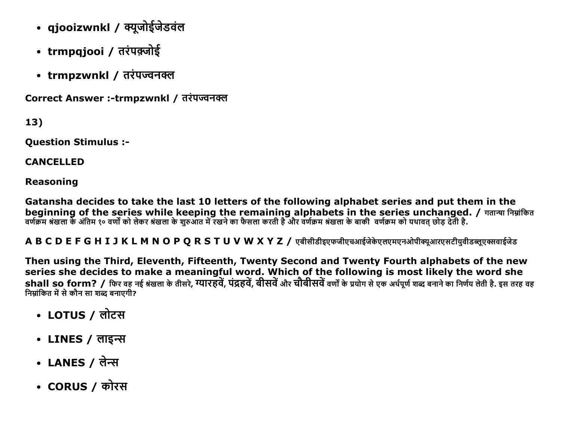- qjooizwnkl / क्यूजोईजेडवंल
- trmpqjooi / तरंपक़्जोई
- trmpzwnkl / तरंपज्वनक्ल

Correct Answer :-trmpzwnkl / तरंपज्वनक्ल

13)

**Ouestion Stimulus :-**

**CANCELLED** 

**Reasoning** 

Gatansha decides to take the last 10 letters of the following alphabet series and put them in the beginning of the series while keeping the remaining alphabets in the series unchanged. / गतान्षा निम्नांकित वर्णक्रम श्रंखला के अंतिम १० वर्णों को लेकर श्रंखला के शुरुआत में रखने का फैसला करती है और वर्णक्रम श्रंखला के बाकी वर्णक्रम को यथावत छोड देती है.

A B C D E F G H I J K L M N O P O R S T U V W X Y Z / एबीसीडीइएफजीएचआईजेकेएलएमएनओपीक्युआरएसटीयवीडब्लूएक्सवाईजेड

Then using the Third, Eleventh, Fifteenth, Twenty Second and Twenty Fourth alphabets of the new series she decides to make a meaningful word. Which of the following is most likely the word she shall so form? / फिर वह नई श्रंखला के तीसरे, ग्यारहवें, पंद्रहवें, बीसवें और चौबीसवें वर्णों के प्रयोग से एक अर्थपर्ण शब्द बनाने का निर्णय लेती है. इस तरह वह निम्नांकित में से कौन सा शब्द बनाएगी?

- LOTUS / लोटस
- LINES / लाइन्स
- LANES / लेन्स
- CORUS / कोरस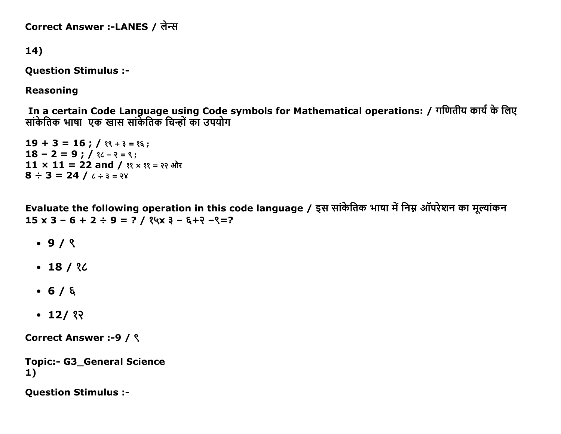Correct Answer :-LANES / लेन्स

```
14)
```
**Question Stimulus :-**

**Reasoning** 

In a certain Code Language using Code symbols for Mathematical operations: / गणितीय कार्य के लिए सांकेतिक भाषा एक खास सांकेतिक चिन्हों का उपयोग

 $19 + 3 = 16$ ;  $\frac{1}{3}$   $\frac{1}{4}$   $\frac{1}{5}$   $\frac{1}{6}$ ;  $18 - 2 = 9$ ; /  $\frac{1}{6}$  /  $\frac{1}{2}$  /  $\frac{1}{2}$  /  $\frac{1}{2}$  /  $\frac{1}{2}$ 11 × 11 = 22 and /  $\{9, 4, 5\}$  =  $\{3, 4\}$  $8 \div 3 = 24 / 6 \div 3 = 88$ 

Evaluate the following operation in this code language / इस सांकेतिक भाषा में निम्न ऑपरेशन का मूल्यांकन  $15 \times 3 - 6 + 2 \div 9 = ?$  /  $24 \times 3 - 6 + 2 - 2 = ?$ 

- $\cdot$  9/  $\zeta$
- $-18/36$
- $-6/6$
- $\cdot$  12/ ??

**Correct Answer :- 9 / ९** 

```
Topic:- G3_General Science
1)
```
**Ouestion Stimulus :-**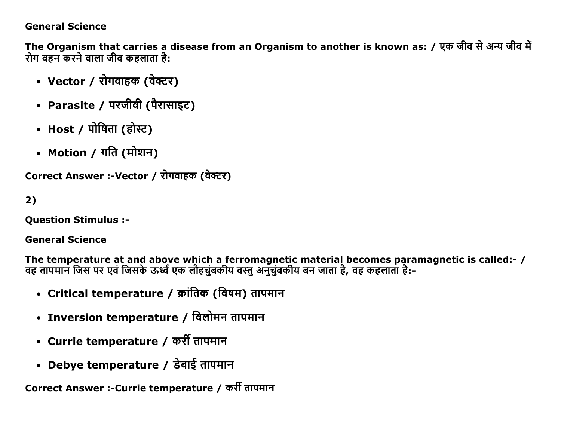### General Science

The Organism that carries a disease from an Organism to another is known as: / एक जीव से अन्य जीव में रोग वहन करने वाला जीव कहलाता है:

- Vector / रोगवाहक (वेक्टर)
- Parasite / परजीवी (पैरासाइट)
- Host / पोषिता (होस्ट)
- Motion / गति (मोशन)

Correct Answer :-Vector / रोगवाहक (वेक्टर)

2)

Question Stimulus :

General Science

The temperature at and above which a ferromagnetic material becomes paramagnetic is called:- / वह तापमान जिस पर एव जिसके ऊर्ध्व एक लोहचुबकीय वस्तु अनुचुबकीय बन जाता है, वह कहलाता है:-

- Critical temperature / क्रांतिक (विषम) तापमान
- Inversion temperature / विलोमन तापमान
- Currie temperature / कर्री तापमान
- Debye temperature / डेबाई तापमान

Correct Answer :-Currie temperature / कर्री तापमान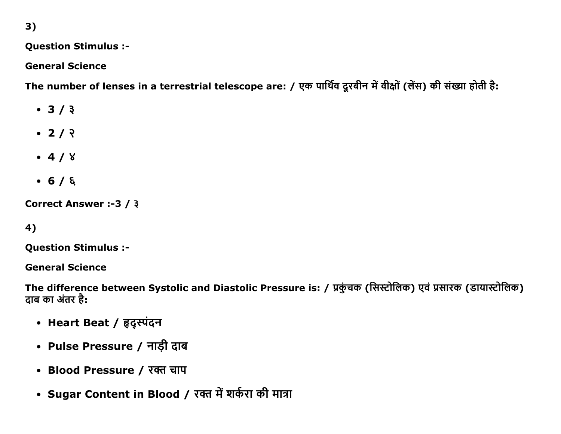3)

### Question Stimulus :

General Science

The number of lenses in a terrestrial telescope are: / एक पार्थिव दूरबीन में वीक्षों (लेंस) की संख्या होती है:

- $-3/3$
- $-2/2$
- $-4/8$
- $-6/6$

Correct Answer :-3 /  $3$ 

### 4)

Question Stimulus :

General Science

The difference between Systolic and Diastolic Pressure is: / प्रकुंचक (सिस्टोलिक) एवं प्रसारक (डायास्टोलिक) दाब का अंतर है:

- Heart Beat / हृद्स्पंदन
- Pulse Pressure / नाड़ी दाब
- Blood Pressure / रक्त चाप
- Sugar Content in Blood / रक्त में शर्करा की मात्रा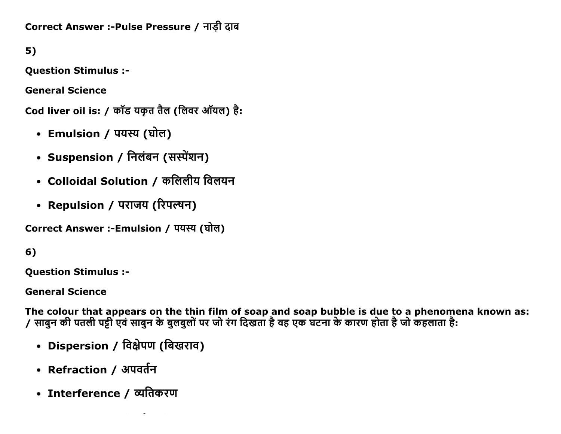Correct Answer :-Pulse Pressure / नाडी दाब

5)

Question Stimulus :

General Science

Cod liver oil is: / कॉड यकृत तैल (लिवर ऑयल) है:

- Emulsion / पयस्य (घोल)
- Suspension / निलंबन (सस्पेंशन)
- Colloidal Solution / कलिलीय विलयन
- Repulsion / पराजय (रिपल्षन)

Correct Answer :-Emulsion / पयस्य (घोल)

6)

Question Stimulus :

General Science

The colour that appears on the thin film of soap and soap bubble is due to a phenomena known as: / साबुन की पतली पट्टी एवं साबुन के बुलबुलों पर जो रंग दिखता है वह एक घटना के कारण होता है जो कहलाता है:

- Dispersion / विक्षेपण (बिखराव)
- Refraction / अपवर्तन
- Interference / व्यतिकरण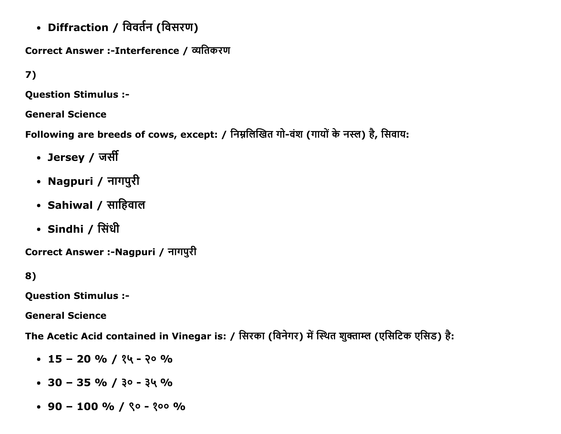• Diffraction / विवर्तन (विसरण)

Correct Answer :-Interference / व्यतिकरण

7)

Question Stimulus :

General Science

Following are breeds of cows, except: / निम्नलिखित गो-वंश (गायों के नस्ल) है, सिवाय:

- Jersey / जर्सी
- Nagpuri / नागपुरी
- Sahiwal / साहिवाल
- Sindhi / सिंधी

Correct Answer :-Nagpuri / नागपुरी

8)

Question Stimulus :

General Science

The Acetic Acid contained in Vinegar is: / सिरका (विनेगर) में स्थित शुक्ताम्ल (एसिटिक एसिड) है:

- $\cdot$  15 20 % / 24 20 %
- $\cdot$  30 35 % /  $30 34$  %
- $\cdot$  90 100 % / ९० १०० %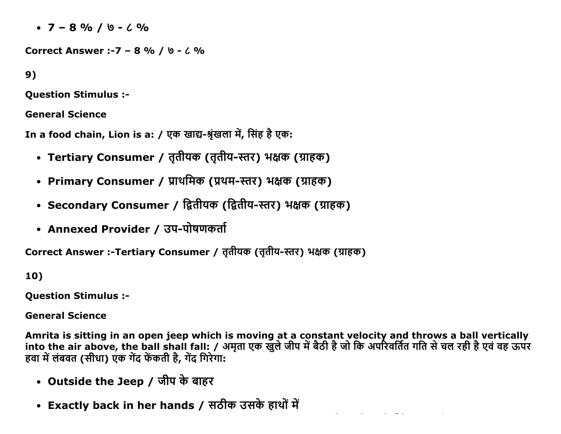$\cdot$  7 - 8 % / \ -  $\cdot$  %

Correct Answer :-7 - 8 % / b - 6 %

 $9)$ 

**Ouestion Stimulus :-**

**General Science** 

In a food chain, Lion is a: / एक खाद्य-श्रृंखला में, सिंह है एक:

- Tertiary Consumer / तृतीयक (तृतीय-स्तर) भक्षक (ग्राहक)
- Primary Consumer / प्राथमिक (प्रथम-स्तर) भक्षक (ग्राहक)
- Secondary Consumer / द्वितीयक (द्वितीय-स्तर) भक्षक (ग्राहक)
- Annexed Provider / उप-पोषणकर्ता

Correct Answer :-Tertiary Consumer / तृतीयक (तृतीय-स्तर) भक्षक (ग्राहक)

10)

**Question Stimulus :-**

**General Science** 

Amrita is sitting in an open jeep which is moving at a constant velocity and throws a ball vertically<br>into the air above, the ball shall fall: / अमृता एक खुले जीप में बैठी है जो कि अपरिवर्तित गति से चल रही है एवं वह ऊपर हवा में लंबवत (सीधा) एक गेंद फेंकती है, गेंद गिरेगा:

- Outside the Jeep / जीप के बाहर
- Exactly back in her hands / सठीक उसके हाथों में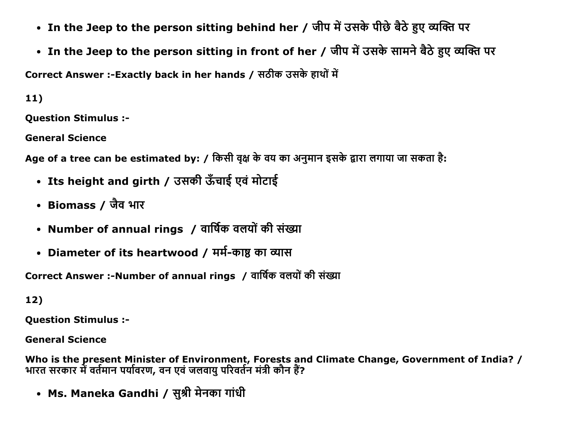- In the Jeep to the person sitting behind her / जीप में उसके पीछे बैठे हुए व्यक्ति पर
- In the Jeep to the person sitting in front of her / जीप में उसके सामने बैठे हुए व्यक्ति पर

Correct Answer :- Exactly back in her hands / सठीक उसके हाथों में

 $11)$ 

**Ouestion Stimulus :-**

**General Science** 

Age of a tree can be estimated by: / किसी वृक्ष के वय का अनुमान इसके द्वारा लगाया जा सकता है:

- Its height and girth / उसकी ऊँचाई एवं मोटाई
- Biomass / जैव भार
- Number of annual rings / वार्षिक वलयों की संख्या
- Diameter of its heartwood / मर्म-काष्ठ का व्यास

Correct Answer :- Number of annual rings / वार्षिक वलयों की संख्या

 $12)$ 

**Question Stimulus :-**

**General Science** 

Who is the present Minister of Environment, Forests and Climate Change, Government of India? / भारत सरकार में वर्तमान पर्यावरण, वन एवं जलवायु परिवर्तन मंत्री कौन हैं?

• Ms. Maneka Gandhi / सुश्री मेनका गांधी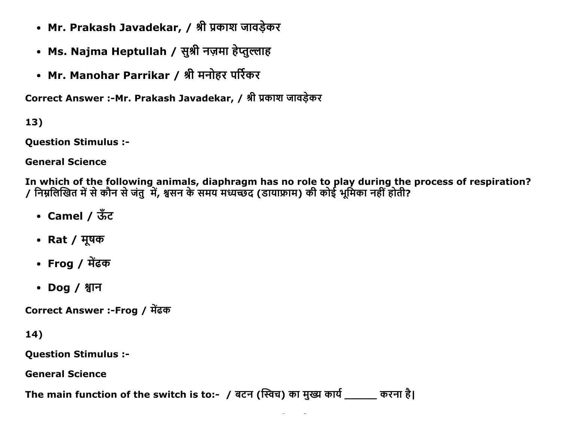- Mr. Prakash Javadekar, / श्री प्रकाश जावड़ेकर
- Ms. Najma Heptullah / सुश्री नज़मा हेप्तुल्लाह
- Mr. Manohar Parrikar / श्री मनोहर पर्रिकर

Correct Answer :- Mr. Prakash Javadekar, / श्री प्रकाश जावड़ेकर

 $13)$ 

**Question Stimulus :-**

**General Science** 

In which of the following animals, diaphragm has no role to play during the process of respiration? / निम्नलिखित में से कौन से जंतु में, श्वसन के समय मध्यच्छद (डायाफ्राम) की कोई भूमिका नहीं होती?

- Camel /  $\overline{3}$ c $\overline{3}$
- Rat / मूषक
- Frog / मेंढक
- Dog / श्वान

Correct Answer :-Frog / मेंढक

 $14)$ 

**Question Stimulus :-**

**General Science** 

The main function of the switch is to:- / बटन (स्विच) का मुख्य कार्य \_\_\_\_\_ करना है।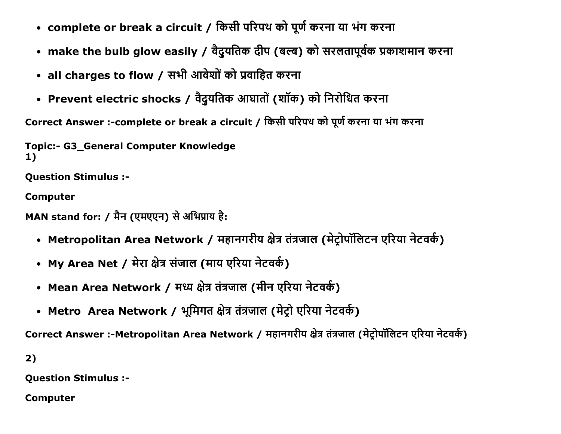- complete or break a circuit / किसी परिपथ को पूर्ण करना या भंग करना
- make the bulb glow easily / वैदुयतिक दीप (बल्ब) को सरलतापूर्वक प्रकाशमान करना
- all charges to flow / सभी आवेशों को प्रवाहित करना
- Prevent electric shocks / वैदुयतिक आघातों (शॉक) को निरोधित करना

Correct Answer :-complete or break a circuit / किसी परिपथ को पूर्ण करना या भंग करना

Topic:- G3 General Computer Knowledge 1)

Question Stimulus :

Computer

```
MAN stand for: / मैन (एमएएन) से अभिप्राय है:
```
- Metropolitan Area Network / महानगरीय क्षेत्र तंत्रजाल (मेट्रोपॉलिटन एरिया नेटवर्क)
- My Area Net / मेरा क्षेत्र संजाल (माय एरिया नेटवर्क)
- Mean Area Network / मध्य क्षेत्र तंत्रजाल (मीन एरिया नेटवर्क)
- Metro Area Network / भूमिगत क्षेत्र तंत्रजाल (मेट्रो एरिया नेटवर्क)

Correct Answer :-Metropolitan Area Network / महानगरीय क्षेत्र तंत्रजाल (मेट्रोपॉलिटन एरिया नेटवर्क)

2)

Question Stimulus :

Computer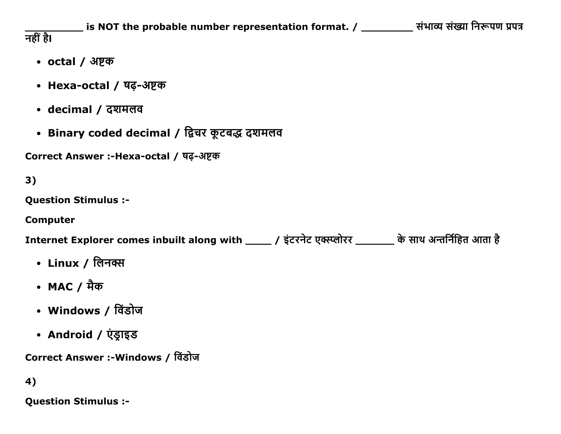\_\_\_\_\_ is NOT the probable number representation format. / \_\_\_\_\_\_\_\_\_\_ संभाव्य संख्या निरूपण प्रपत्र नहीं है।

- octal / अष्टक
- Hexa-octal / षढ़-अष्टक
- decimal / दशमलव
- Binary coded decimal / द्विचर कूटबद्ध दशमलव

Correct Answer :-Hexa-octal / षढ-अष्टक

 $3)$ 

**Ouestion Stimulus :-**

**Computer** 

Internet Explorer comes inbuilt along with \_\_\_\_\_ / इंटरनेट एक्स्प्लोरर \_\_\_\_\_\_ के साथ अन्तर्निहित आता है

- Linux / लिनक्स
- MAC / ਸੈ<del>ਕ</del>
- Windows / विंडोज
- Android / एंड्राइड

Correct Answer :-Windows / विंडोज

4)

**Ouestion Stimulus :-**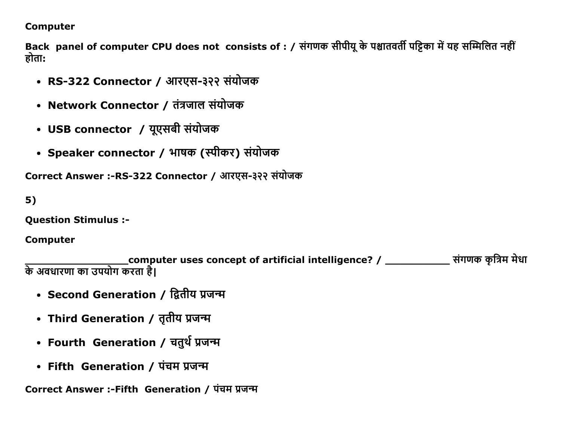#### **Computer**

Back panel of computer CPU does not consists of : / संगणक सीपीयू के पश्चातवर्ती पट्टिका में यह सम्मिलित नहीं होता:

- RS-322 Connector / आरएस-३२२ संयोजक
- Network Connector / तंत्रजाल संयोजक
- USB connector / यूएसबी संयोजक
- Speaker connector / भाषक (स्पीकर) संयोजक

Correct Answer :-RS-322 Connector / आरएस-३२२ संयोजक

 $5)$ 

**Question Stimulus :-**

**Computer** 

के अवधारणा का उपयोग करता है।<br>के अवधारणा का उपयोग करता है।

- Second Generation / द्वितीय प्रजन्म
- Third Generation / तृतीय प्रजन्म
- Fourth Generation / चतुर्थ प्रजन्म
- Fifth Generation / पंचम प्रजन्म

Correct Answer :-Fifth Generation / पंचम प्रजन्म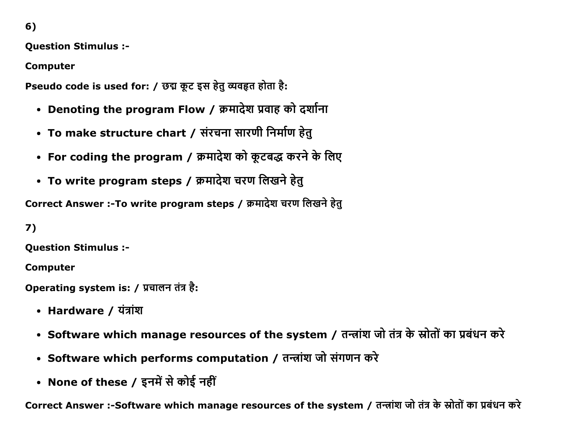$6)$ 

**Ouestion Stimulus :-**

**Computer** 

Pseudo code is used for: / छद्म कूट इस हेतू व्यवहृत होता है:

- Denoting the program Flow / क्रमादेश प्रवाह को दर्शाना
- To make structure chart / संरचना सारणी निर्माण हेतु
- For coding the program / क्रमादेश को कूटबद्ध करने के लिए
- To write program steps / क्रमादेश चरण लिखने हेतु

Correct Answer :-To write program steps / क्रमादेश चरण लिखने हेत्

7)

**Question Stimulus :-**

**Computer** 

Operating system is: / प्रचालन तंत्र है:

- Hardware / यंत्रांश
- Software which manage resources of the system / तन्त्रांश जो तंत्र के स्रोतों का प्रबंधन करे
- Software which performs computation / तन्त्रांश जो संगणन करे
- None of these / इनमें से कोई नहीं

Correct Answer :-Software which manage resources of the system / तन्त्रांश जो तंत्र के स्रोतों का प्रबंधन करे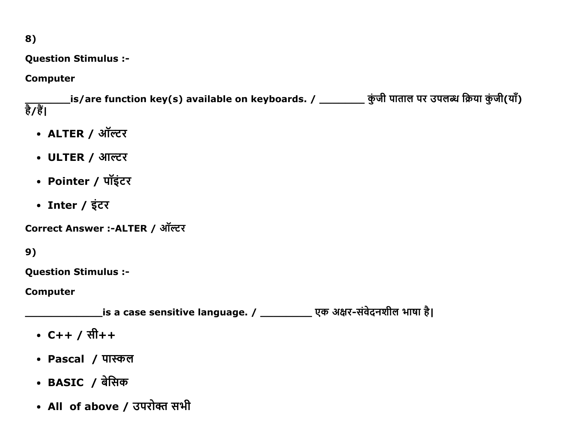### 8)

**Question Stimulus :-**

#### **Computer**

\_is/are function key(s) available on keyboards. / \_\_\_\_\_\_\_\_\_ कुंजी पाताल पर उपलब्ध क्रिया कुंजी(याँ) हैं/हैं।

- ALTER / ऑल्टर
- ULTER / आल्टर
- Pointer / पॉइंटर
- Inter / इंटर

Correct Answer :- ALTER / ऑल्टर

 $9)$ 

**Question Stimulus :-**

**Computer** 

\_\_\_\_\_\_\_is a case sensitive language. / \_\_\_\_\_\_\_\_\_\_\_\_\_ एक अक्षर-संवेदनशील भाषा है।

- $C++ / 7H++$
- Pascal / पास्कल
- BASIC / बेसिक
- All of above / उपरोक्त सभी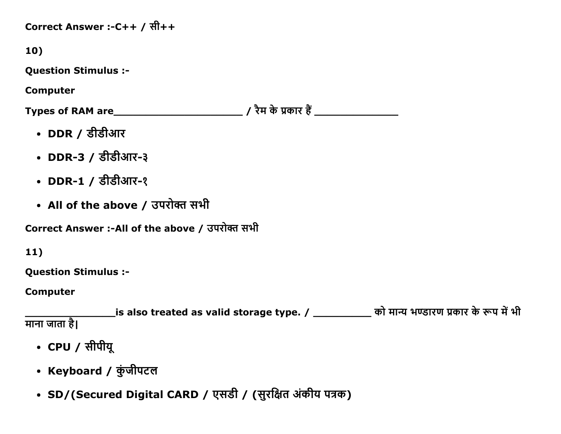Correct Answer :-C++ / सी++

10)

**Question Stimulus :-**

**Computer** 

- DDR / डीडीआर
- DDR-3 / डीडीआर-३
- DDR-1 / डीडीआर-१
- All of the above / उपरोक्त सभी

Correct Answer :-All of the above / उपरोक्त सभी

 $11)$ 

**Question Stimulus :-**

**Computer** 

\_is also treated as valid storage type. / \_\_\_\_\_\_\_\_\_\_\_\_ को मान्य भण्डारण प्रकार के रूप में भी माना जाता है।

- CPU / सीपीयू
- Keyboard / कुंजीपटल
- SD/(Secured Digital CARD / एसडी / (सुरक्षित अंकीय पत्रक)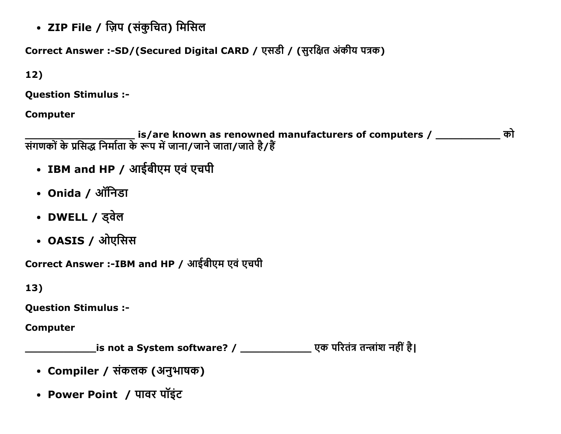• ZIP File / ज़िप (संकुचित) मिसिल

Correct Answer :-SD/(Secured Digital CARD / एसडी / (सुरक्षित अंकीय पत्रक)

 $12)$ 

**Question Stimulus :-**

**Computer** 

is/are known as renowned manufacturers of computers / \_\_\_\_\_\_\_\_\_\_ को<br>संगणकों के प्रसिद्ध निर्माता के रूप में जाना/जाने जाता/जाते है/हैं

- IBM and HP / आईबीएम एवं एचपी
- Onida / ऑनिडा
- DWELL / ड्वेल
- OASIS / ओएसिस

Correct Answer :- IBM and HP / आईबीएम एवं एचपी

 $13)$ 

**Question Stimulus :-**

**Computer** 

\_\_\_\_\_\_\_\_is not a System software? / \_\_\_\_\_\_\_\_\_\_\_\_\_\_\_\_ एक परितंत्र तन्त्रांश नहीं है।

- Compiler / संकलक (अनुभाषक)
- Power Point / पावर पॉइंट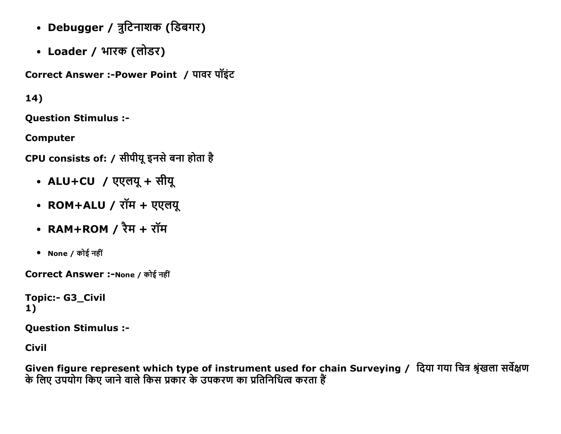- Debugger / त्रुटिनाशक (डिबगर)
- Loader / भारक (लोडर)

Correct Answer :- Power Point / पावर पॉइंट

# $14)$

**Question Stimulus :-**

**Computer** 

CPU consists of: / सीपीयू इनसे बना होता है

- ALU+CU / एएलयू + सीयू
- ROM+ALU / रॉम + एएलयू
- RAM+ROM  $/$  रैम + रॉम
- None / कोई नहीं

Correct Answer :-None / कोई नहीं

**Topic:- G3 Civil**  $1)$ 

**Question Stimulus :-**

**Civil** 

Given figure represent which type of instrument used for chain Surveying / दिया गया चित्र श्रृंखला सर्वेक्षण के लिए उपयोग किए जाने वाले किस प्रकार के उपकरण का प्रतिनिधित्व करता हैं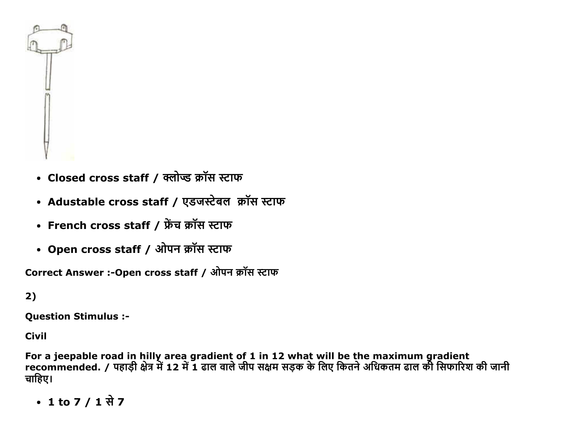

- Closed cross staff / क्लोप्ड क्रॉस स्टाफ
- Adustable cross staff / एडजस्टेबल क्रॉस स्टाफ
- French cross staff / फ्रेंच क्रॉस स्टाफ
- Open cross staff / ओपन क्रॉस स्टाफ

Correct Answer :- Open cross staff / ओपन क्रॉस स्टाफ

### $2)$

**Question Stimulus :-**

**Civil** 

For a jeepable road in hilly area gradient of 1 in 12 what will be the maximum gradient<br>recommended. / पहाड़ी क्षेत्र में 12 में 1 ढाल वाले जीप सक्षम सड़क के लिए कितने अधिकतम ढाल की सिफारिश की जानी चाहिए।

• 1 to 7 / 1 से 7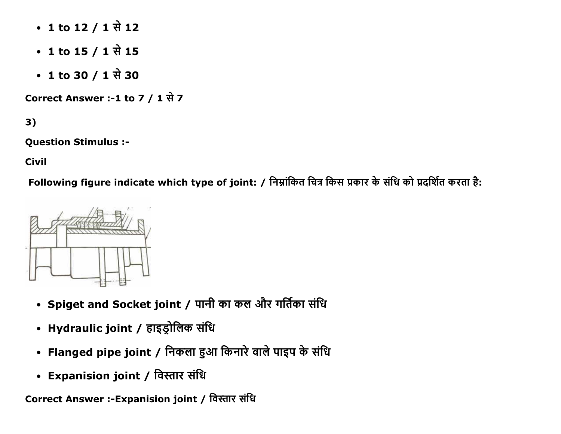- 1 to 12 / 1 से 12
- 1 to 15 / 1 से 15
- 1 to 30 / 1 से 30

Correct Answer :-1 to 7 / 1 से 7

 $3)$ 

**Question Stimulus :-**

**Civil** 

Following figure indicate which type of joint: / निम्नांकित चित्र किस प्रकार के संधि को प्रदर्शित करता है:



- Spiget and Socket joint / पानी का कल और गर्तिका संधि
- Hydraulic joint / हाइड्रोलिक संधि
- Flanged pipe joint / निकला हुआ किनारे वाले पाइप के संधि
- Expanision joint / विस्तार संधि

Correct Answer :-Expanision joint / विस्तार संधि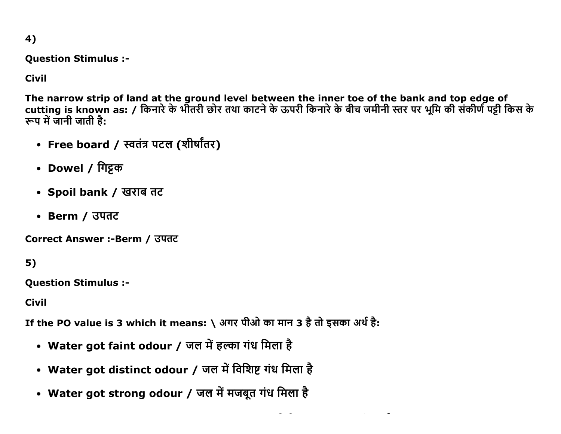4)

**Question Stimulus :-**

**Civil** 

The narrow strip of land at the ground level between the inner toe of the bank and top edge of cutting is known as: / किनारे के भीतरी छोर तथा काटने के ऊपरी किनारे के बीच जमीनी स्तर पर भूमि की संकीर्ण पट्टी किस के रूप में जानी जाती है:

- Free board / स्वतंत्र पटल (शीर्षांतर)
- Dowel / गिट्टक
- Spoil bank / खराब तट
- Berm / उपतट

Correct Answer :-Berm / उपतट

 $5)$ 

**Ouestion Stimulus :-**

**Civil** 

If the PO value is 3 which it means: \ अगर पीओ का मान 3 है तो इसका अर्थ है:

- Water got faint odour / जल में हल्का गंध मिला है
- Water got distinct odour / जल में विशिष्ट गंध मिला है
- Water got strong odour / जल में मजबूत गंध मिला है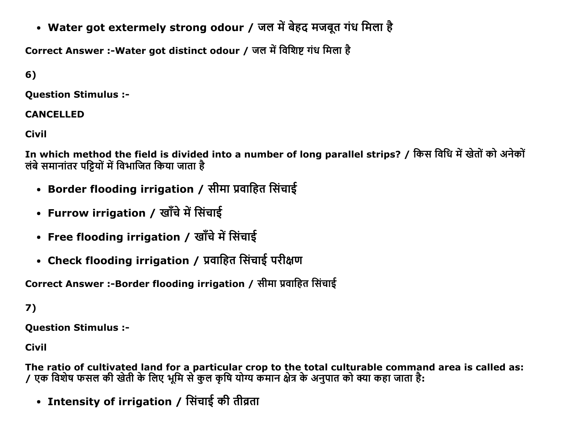• Water got extermely strong odour / जल में बेहद मजबूत गंध मिला है

Correct Answer :-Water got distinct odour / जल में विशिष्ट गंध मिला है

 $6)$ 

**Ouestion Stimulus :-**

### **CANCELLED**

Civil

In which method the field is divided into a number of long parallel strips? / किस विधि में खेतों को अनेकों लंबे समानांतर पट्टियों में विभाजित किया जाता है

- Border flooding irrigation / सीमा प्रवाहित सिंचाई
- Furrow irrigation / खाँचे में सिंचाई
- Free flooding irrigation / खाँचे में सिंचाई
- Check flooding irrigation / प्रवाहित सिंचाई परीक्षण

Correct Answer :-Border flooding irrigation / सीमा प्रवाहित सिंचाई

 $7)$ 

**Question Stimulus :-**

**Civil** 

The ratio of cultivated land for a particular crop to the total culturable command area is called as: / एक विशेष फसल की खेती के लिए भूमि से कुल कृषि योग्य कमान क्षेत्र के अनुपात को क्या कहा जाता है:

• Intensity of irrigation / सिंचाई की तीव्रता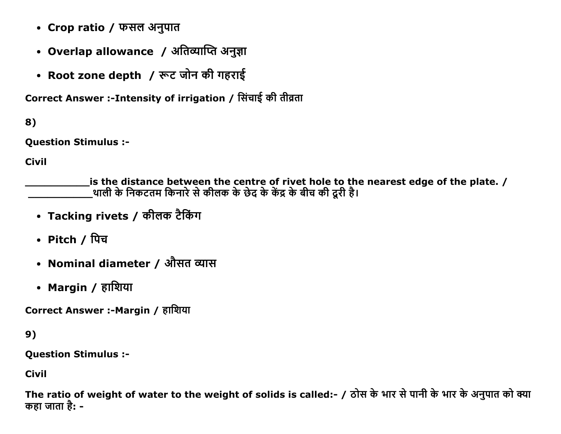- Crop ratio / फसल अनुपात
- Overlap allowance / अतिव्याप्ति अनुज्ञा
- Root zone depth / रूट जोन की गहराई

Correct Answer :-Intensity of irrigation / सिंचाई की तीव्रता

8)

**Question Stimulus :-**

**Civil** 

is the distance between the centre of rivet hole to the nearest edge of the plate.  $/$ ्थाली के निकटतम किनारे से कीलक के छेद के केंद्र के बीच की दूरी है।

- Tacking rivets / कीलक टैकिंग
- Pitch / पिच
- Nominal diameter / औसत व्यास
- Margin / हाशिया

Correct Answer :-Margin / हाशिया

 $9)$ 

**Question Stimulus :-**

**Civil** 

The ratio of weight of water to the weight of solids is called:- / ठोस के भार से पानी के भार के अनुपात को क्या कहा जाता है: -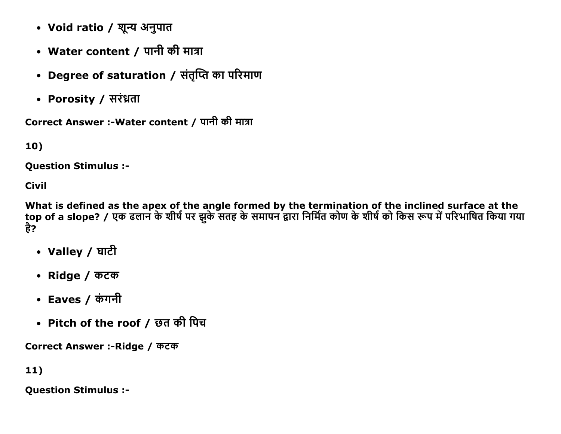- Void ratio / शून्य अनुपात
- Water content / पानी की मात्रा
- Degree of saturation / संतृप्ति का परिमाण
- Porosity / सरंध्रता

Correct Answer :-Water content / पानी की मात्रा

10)

**Ouestion Stimulus :-**

**Civil** 

What is defined as the apex of the angle formed by the termination of the inclined surface at the<br>top of a slope? / एक ढलान के शीर्ष पर झुके सतह के समापन द्वारा निर्मित कोण के शीर्ष को किस रूप में परिभाषित किया गया है?

- Valley / घाटी
- Ridge / कटक
- Eaves / कंगनी
- Pitch of the roof / छत की पिच

Correct Answer :- Ridge / कटक

11)

**Question Stimulus :-**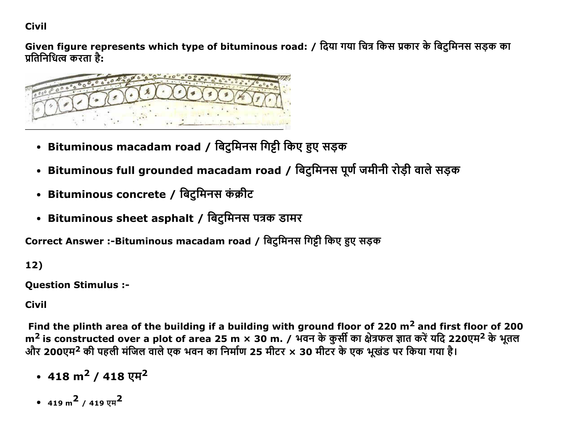**Civil** 

Given figure represents which type of bituminous road: / दिया गया चित्र किस प्रकार के बिटुमिनस सड़क का प्रतिनिधित्व करता है:



- Bituminous macadam road / बिटुमिनस गिट्टी किए हुए सड़क
- Bituminous full grounded macadam road / बिटुमिनस पूर्ण जमीनी रोड़ी वाले सड़क
- Bituminous concrete / बिटुमिनस कंक्रीट
- Bituminous sheet asphalt / बिटुमिनस पत्रक डामर

Correct Answer :-Bituminous macadam road / बिटमिनस गिट्टी किए हुए सड़क

 $12)$ 

**Question Stimulus :-**

**Civil** 

Find the plinth area of the building if a building with ground floor of 220  $m<sup>2</sup>$  and first floor of 200 m<sup>2</sup> is constructed over a plot of area 25 m × 30 m. / भवन के कुर्सी का क्षेत्रफल ज्ञात करें यदि 220एम<sup>2</sup> के भूतल और 200एम<sup>2</sup> की पहली मंजिल वाले एक भवन का निर्माण 25 मीटर × 30 मीटर के एक भूखंड पर किया गया है।

- 418 m<sup>2</sup> / 418 एम<sup>2</sup>
- 419 m<sup>2</sup> / 419  $\nu$ H<sup>2</sup>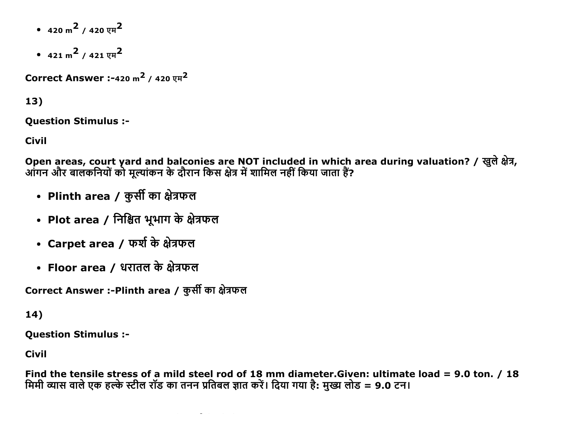- $420 \text{ m}^2$  /  $420 \text{ yr}^2$
- $421 \text{ m}^2$  /  $421 \text{ yr}^2$

**Correct Answer :-420 m<sup>2</sup> / 420 एम**<sup>2</sup>

### 13)

**Question Stimulus :-**

Civil

Open areas, court yard and balconies are NOT included in which area during valuation? / खुले क्षेत्र, आंगन और बालकनियों को मूल्यांकन के दौरान किस क्षेत्र में शामिल नहीं किया जाता हैं?

- Plinth area / कुर्सी का क्षेत्रफल
- Plot area / निश्चित भूभाग के क्षेत्रफल
- Carpet area / फर्श के क्षेत्रफल
- Floor area / धरातल के क्षेत्रफल

Correct Answer :-Plinth area / कुर्सी का क्षेत्रफल

# 14)

**Ouestion Stimulus :-**

**Civil** 

Find the tensile stress of a mild steel rod of 18 mm diameter. Given: ultimate load = 9.0 ton. / 18 मिमी व्यास वाले एक हल्के स्टील रॉड का तनन प्रतिबल ज्ञात करें। दिया गया है: मुख्य लोड = 9.0 टन।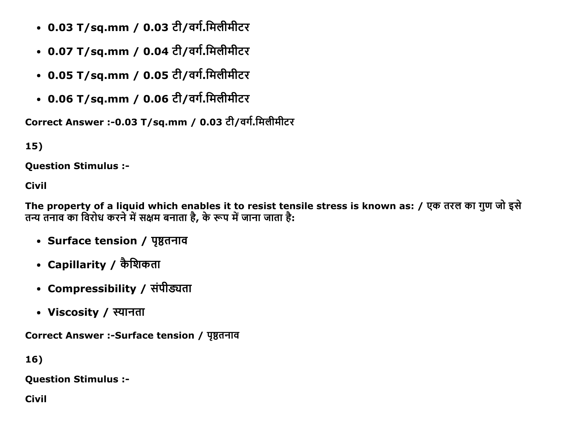- 0.03 T/sq.mm / 0.03 टी/वर्ग.मिलीमीटर
- 0.07 T/sq.mm / 0.04 टी/वर्ग.मिलीमीटर
- 0.05 T/sq.mm / 0.05 टी/वर्ग.मिलीमीटर
- 0.06 T/sq.mm / 0.06 टी/वर्ग.मिलीमीटर

Correct Answer :- 0.03 T/sq.mm / 0.03 टी/वर्ग.मिलीमीटर

15)

**Ouestion Stimulus :-**

**Civil** 

The property of a liquid which enables it to resist tensile stress is known as: / एक तरल का गुण जो इसे तन्य तनाव का विरोध करने में सक्षम बनाता है, के रूप में जाना जाता है:

- Surface tension / पृष्ठतनाव
- Capillarity / कैशिकता
- Compressibility / संपीड्यता
- Viscosity / स्यानता

Correct Answer :-Surface tension / पृष्ठतनाव

 $16)$ 

**Question Stimulus :-**

**Civil**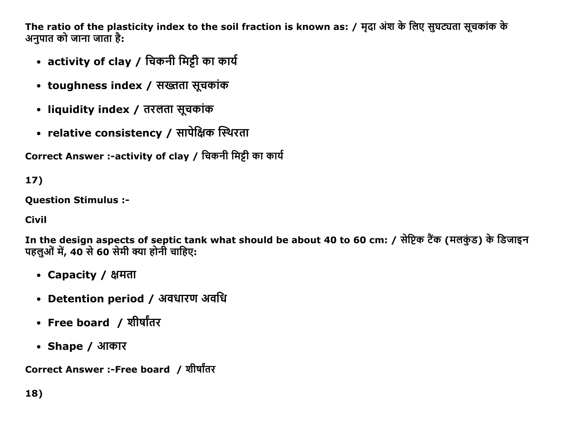The ratio of the plasticity index to the soil fraction is known as: / मृदा अंश के लिए सुघट्यता सूचकांक के अनुपात को जाना जाता है:

- activity of clay / चिकनी मिट्टी का कार्य
- toughness index / सख्तता सूचकांक
- liquidity index / तरलता सूचकांक
- relative consistency / सापेक्षिक स्थिरता

Correct Answer :-activity of clay / चिकनी मिट्टी का कार्य

17)

Question Stimulus :

Civil

In the design aspects of septic tank what should be about 40 to 60 cm: / सेप्टिक टैंक (मलकुंड) के डिजाइन पहलुओं में, 40 से 60 सेमी क्या होनी चाहिए:

- Capacity / क्षमता
- Detention period / अवधारण अवधि
- Free board / शीर्षांतर
- Shape / आकार

Correct Answer :-Free board / शीर्षांतर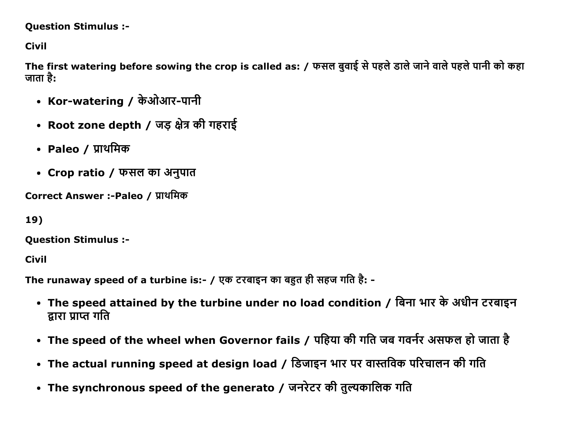### **Question Stimulus :-**

**Civil** 

The first watering before sowing the crop is called as: / फसल बुवाई से पहले डाले जाने वाले पहले पानी को कहा जाता है:

- Kor-watering / केओआर-पानी
- Root zone depth / जड़ क्षेत्र की गहराई
- Paleo / प्राथमिक
- Crop ratio / फसल का अनुपात

Correct Answer :-Paleo / प्राथमिक

```
19)
```
**Question Stimulus :-**

**Civil** 

The runaway speed of a turbine is:- / एक टरबाइन का बहुत ही सहज गति है: -

- The speed attained by the turbine under no load condition / बिना भार के अधीन टरबाइन द्रारा प्राप्त गति
- The speed of the wheel when Governor fails / पहिया की गति जब गवर्नर असफल हो जाता है
- The actual running speed at design load / डिजाइन भार पर वास्तविक परिचालन की गति
- The synchronous speed of the generato / जनरेटर की तुल्यकालिक गति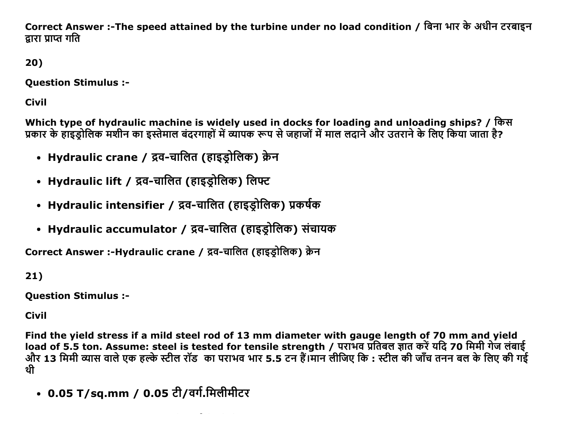Correct Answer :-The speed attained by the turbine under no load condition / बिना भार के अधीन टरबाइन द्रारा प्राप्त गति

20)

**Ouestion Stimulus :-**

**Civil** 

Which type of hydraulic machine is widely used in docks for loading and unloading ships? / किस प्रकार के हाइड्रोलिक मशीन का इस्तेमाल बंदरगाहों में व्यापक रूप से जहाजों में माल लदाने और उतराने के लिए किया जाता है?

- Hydraulic crane / द्रव-चालित (हाइड़ोलिक) क्रेन
- Hydraulic lift / द्रव-चालित (हाइड्रोलिक) लिफ्ट
- Hydraulic intensifier / द्रव-चालित (हाइड्रोलिक) प्रकर्षक
- Hydraulic accumulator / द्रव-चालित (हाइड़ोलिक) संचायक

Correct Answer :-Hydraulic crane / द्रव-चालित (हाइड़ोलिक) क्रेन

 $21)$ 

**Question Stimulus :-**

**Civil** 

Find the yield stress if a mild steel rod of 13 mm diameter with gauge length of 70 mm and yield load of 5.5 ton. Assume: steel is tested for tensile strength / पराभव प्रतिबल ज्ञात करें यदि 70 मिमी गेज लंबाई जीर 13 मिमी व्यास वाले एक हल्के स्टील रॉड का पराभव भार 5.5 टन हैं।मान लीजिए कि : स्टील की जाँच तनन बल के लिए की गई थी

• 0.05 T/sq.mm / 0.05 टी/वर्ग.मिलीमीटर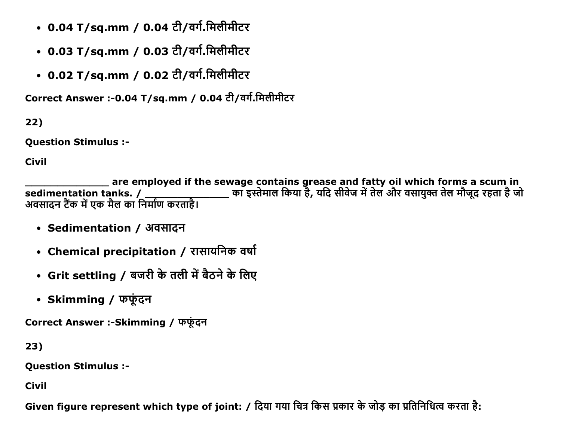- 0.04 T/sq.mm / 0.04 टी/वर्ग.मिलीमीटर
- 0.03 T/sq.mm / 0.03 टी/वर्ग.मिलीमीटर
- 0.02 T/sq.mm / 0.02 टी/वर्ग.मिलीमीटर

Correct Answer :- 0.04 T/sq.mm / 0.04 टी/वर्ग.मिलीमीटर

 $22)$ 

**Question Stimulus :-**

**Civil** 

are employed if the sewage contains grease and fatty oil which forms a scum in \_\_\_\_\_\_\_\_\_\_ का इस्तेमाल किया है, यदि सीवेज में तेल और वसायुक्त तेल मौजूद रहता है जो sedimentation tanks. / अवसादन टैंक में एक मैल का निर्माण करताहै।

- Sedimentation / अवसादन
- Chemical precipitation / रासायनिक वर्षा
- Grit settling / बजरी के तली में बैठने के लिए
- Skimming / फर्फुंदन

Correct Answer :-Skimming / फर्फूदन

 $23)$ 

**Question Stimulus :-**

**Civil** 

Given figure represent which type of joint: / दिया गया चित्र किस प्रकार के जोड़ का प्रतिनिधित्व करता है: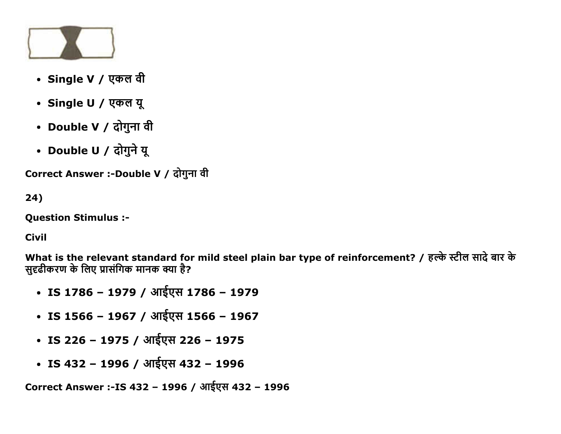

- Single V / एकल वी
- Single U / एकल यू
- Double V / दोगुना वी
- Double U / दोगुने यू

Correct Answer :-Double V / दोगुना वी

24)

Question Stimulus :

Civil

What is the relevant standard for mild steel plain bar type of reinforcement? / हल्के स्टील सादे बार के सुदृढीकरण के लिए प्रासंगिक मानक क्या है?

- IS 1786 1979 / आईएस 1786 1979
- IS 1566 1967 / आईएस 1566 1967
- IS 226 1975 / आईएस 226 1975
- IS 432 1996 / आईएस 432 1996

Correct Answer :-IS 432 – 1996 / आईएस 432 – 1996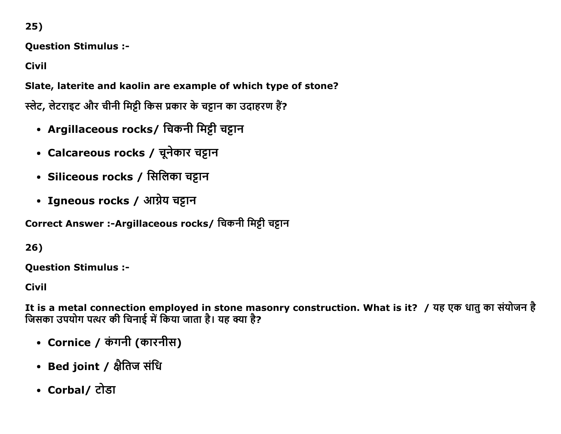$25)$ 

**Question Stimulus :-**

**Civil** 

Slate, laterite and kaolin are example of which type of stone?

स्लेट, लेटराइट और चीनी मिट्टी किस प्रकार के चट्टान का उदाहरण हैं?

- Argillaceous rocks/ चिकनी मिट्टी चट्टान
- Calcareous rocks / चूनेकार चट्टान
- Siliceous rocks / सिलिका चट्टान
- Igneous rocks / आग्नेय चट्टान

Correct Answer :-Argillaceous rocks/ चिकनी मिट्टी चट्टान

26)

**Ouestion Stimulus :-**

**Civil** 

It is a metal connection employed in stone masonry construction. What is it? / यह एक धातु का संयोजन है जिसका उपयोग पत्थर की चिनाई में किया जाता है। यह क्या है?

- Cornice / कंगनी (कारनीस)
- Bed joint / क्षैतिज संधि
- Corbal/ टोडा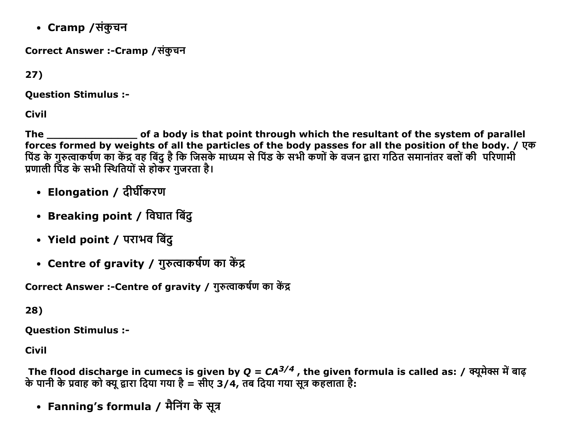• Cramp /संकुचन

Correct Answer :-Cramp /संकुचन

 $27)$ 

**Question Stimulus :-**

**Civil** 

of a body is that point through which the resultant of the system of parallel The forces formed by weights of all the particles of the body passes for all the position of the body. / एक<br>पिंड के गुरुत्वाकर्षण का केंद्र वह बिंदु है कि जिसके माध्यम से पिंड के सभी कणों के वजन द्वारा गठित समानांतर बलों की प्रणाली पिंड के सभी स्थितियों से होकर गुजरता है।

- Elongation / दीर्घीकरण
- Breaking point / विघात बिंदु
- Yield point / पराभव बिंदु
- Centre of gravity / गुरुत्वाकर्षण का केंद्र

Correct Answer :-Centre of gravity / गुरुत्वाकर्षण का केंद्र

28)

**Question Stimulus :-**

**Civil** 

The flood discharge in cumecs is given by Q =  $CA^{3/4}$  , the given formula is called as: / क्यूमेक्स में बाढ़<br>के पानी के प्रवाह को क्यू द्वारा दिया गया है = सीए 3/4, तब दिया गया सूत्र कहलाता है:

• Fanning's formula / मैनिंग के सूत्र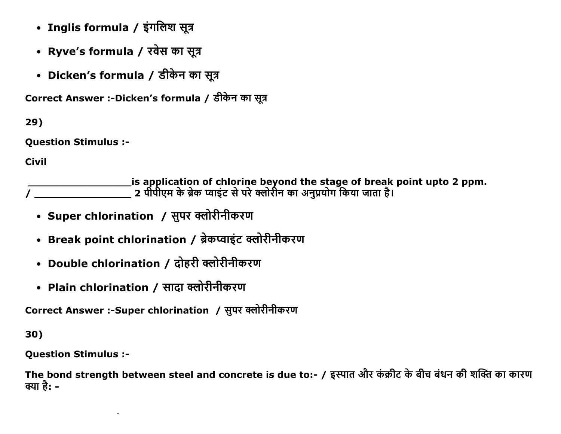- Inglis formula / इंगलिश सूत्र
- Ryve's formula / रवेस का सूत्र
- Dicken's formula / डीकेन का सूत्र

Correct Answer :-Dicken's formula / डीकेन का सूत्र

29)

**Question Stimulus :-**

**Civil** 

- Super chlorination / सुपर क्लोरीनीकरण
- Break point chlorination / ब्रेकप्वाइंट क्लोरीनीकरण
- Double chlorination / दोहरी क्लोरीनीकरण
- Plain chlorination / सादा क्लोरीनीकरण

Correct Answer :-Super chlorination / सुपर क्लोरीनीकरण

30)

**Question Stimulus :-**

The bond strength between steel and concrete is due to:- / इस्पात और कंक्रीट के बीच बंधन की शक्ति का कारण क्या है: -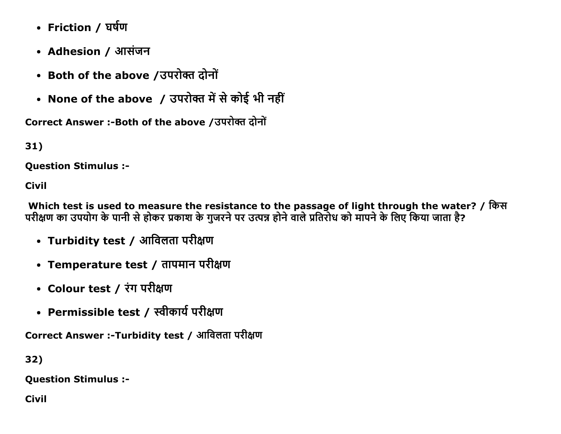- Friction / घर्षण
- Adhesion / आसंजन
- Both of the above /उपरोक्त दोनों
- None of the above / उपरोक्त में से कोई भी नहीं

Correct Answer :- Both of the above / उपरोक्त दोनों

31)

**Ouestion Stimulus :-**

**Civil** 

Which test is used to measure the resistance to the passage of light through the water? / किस परीक्षण का उपयोग के पानी से होकर प्रकाश के गुजरने पर उत्पन्न होने वाले प्रतिरोध को मापने के लिए किया जाता है?

- Turbidity test / आविलता परीक्षण
- Temperature test / तापमान परीक्षण
- Colour test / रंग परीक्षण
- Permissible test / स्वीकार्य परीक्षण

Correct Answer :-Turbidity test / आविलता परीक्षण

32)

**Question Stimulus :-**

**Civil**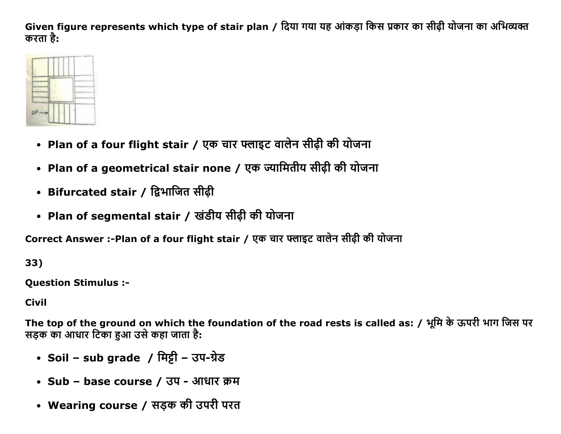Given figure represents which type of stair plan / दिया गया यह आंकड़ा किस प्रकार का सीढी योजना का अभिव्यक्त करता है:



- Plan of a four flight stair / एक चार फ्लाइट वालेन सीढ़ी की योजना
- Plan of a geometrical stair none / एक ज्यामितीय सीढ़ी की योजना
- Bifurcated stair / द्विभाजित सीढ़ी
- Plan of segmental stair / खंडीय सीढ़ी की योजना

Correct Answer :-Plan of a four flight stair / एक चार फ्लाइट वालेन सीढी की योजना

33)

**Ouestion Stimulus :-**

**Civil** 

The top of the ground on which the foundation of the road rests is called as: / भूमि के ऊपरी भाग जिस पर सड़क का आधार टिका हुआ उसे कहा जाता है:

- Soil sub grade / मिट्टी उप-ग्रेड
- Sub base course / उप आधार क्रम
- Wearing course / सड़क की उपरी परत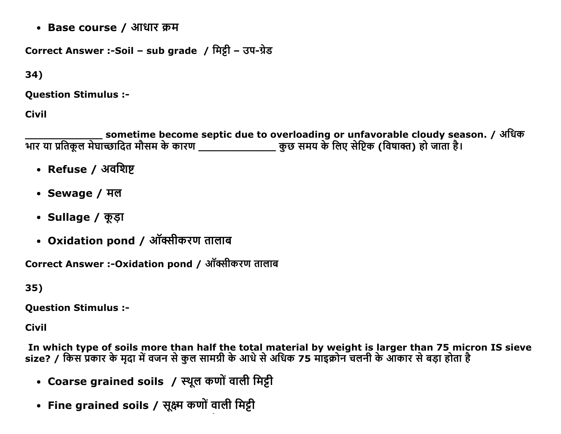• Base course / आधार क्रम

Correct Answer :-Soil - sub grade / मिट्टी - उप-ग्रेड

34)

**Ouestion Stimulus :-**

**Civil** 

sometime become septic due to overloading or unfavorable cloudy season. / अधिक गार या प्रतिकूल मेघाच्छादित मौसम के कारण \_\_\_\_\_\_\_\_\_\_\_\_\_\_\_\_\_\_\_ कुछ समय के लिए सेप्टिक (विषाक्त) हो जाता है।

- Refuse / अवशिष्ट
- Sewage / मल
- Sullage / कूड़ा
- Oxidation pond / ऑक्सीकरण तालाब

Correct Answer :- Oxidation pond / ऑक्सीकरण तालाब

35)

**Question Stimulus :-**

**Civil** 

In which type of soils more than half the total material by weight is larger than 75 micron IS sieve size? / किस प्रकार के मुदा में वजन से कुल सामग्री के आधे से अधिक 75 माइक्रोन चलनी के आकार से बड़ा होता है

- Coarse grained soils / स्थूल कणों वाली मिट्टी
- Fine grained soils / सूक्ष्म कणों वाली मिट्टी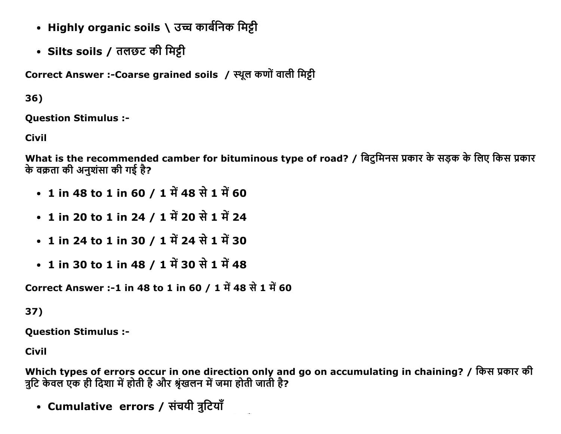- Highly organic soils \ उच्च कार्बनिक मिट्टी
- Silts soils / तलछट की मिट्टी

Correct Answer :- Coarse grained soils / स्थूल कणों वाली मिट्टी

36)

**Ouestion Stimulus :-**

**Civil** 

What is the recommended camber for bituminous type of road? / बिटुमिनस प्रकार के सड़क के लिए किस प्रकार के वक्रता की अनशंसा की गई है?

- 1 in 48 to 1 in 60 / 1 में 48 से 1 में 60
- 1 in 20 to 1 in 24 / 1 में 20 से 1 में 24
- 1 in 24 to 1 in 30 / 1 में 24 से 1 में 30
- 1 in 30 to 1 in 48 / 1 में 30 से 1 में 48

Correct Answer :-1 in 48 to 1 in 60 / 1 में 48 से 1 में 60

37)

**Question Stimulus :-**

Civil

Which types of errors occur in one direction only and go on accumulating in chaining? / किस प्रकार की त्रुटि केवल एक ही दिशा में होती है और श्रृंखलन में जमा होती जाती है?

• Cumulative errors / संचयी त्रुटियाँ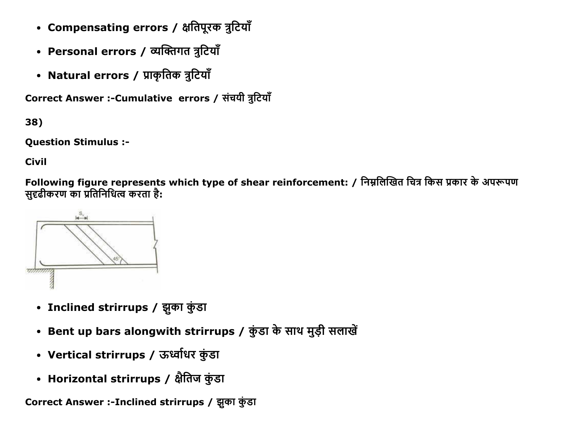- Compensating errors / क्षतिपूरक त्रुटियाँ
- Personal errors / व्यक्तिगत त्रुटियाँ
- Natural errors / प्राकृतिक त्रुटियाँ

Correct Answer :- Cumulative errors / संचयी त्रुटियाँ

38)

**Question Stimulus :-**

**Civil** 

Following figure represents which type of shear reinforcement: / निम्नलिखित चित्र किस प्रकार के अपरूपण सुदृढीकरण का प्रतिनिधित्व करता है:



- Inclined strirrups / झुका कुंडा
- Bent up bars alongwith strirrups / कुंडा के साथ मुड़ी सलाखें
- Vertical strirrups / ऊर्ध्वाधर कुंडा
- Horizontal strirrups / क्षैतिज कुंडा

Correct Answer :-Inclined strirrups / झुका कुंडा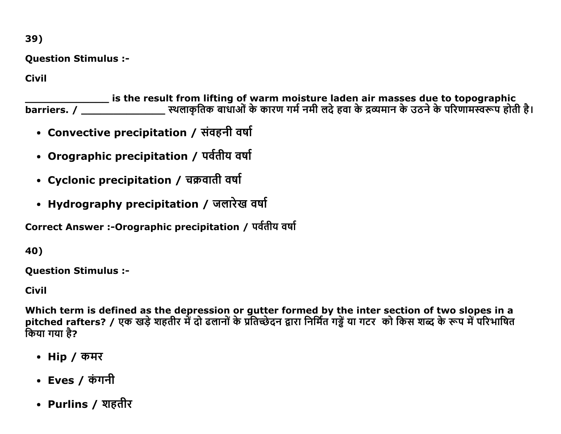39)

**Question Stimulus :-**

**Civil** 

is the result from lifting of warm moisture laden air masses due to topographic<br>barriers. / \_\_\_\_\_\_\_\_\_\_\_\_\_\_\_\_\_\_\_\_\_ स्थलाकृतिक बाधाओं के कारण गर्म नमी लदे हवा के द्रव्यमान के उठने के परिणामस्वरूप होती है।

- Convective precipitation / संवहनी वर्षा
- Orographic precipitation / पर्वतीय वर्षा
- Cyclonic precipitation / चक्रवाती वर्षा
- Hydrography precipitation / जलारेख वर्षा

Correct Answer :- Orographic precipitation / पर्वतीय वर्षा

40)

**Question Stimulus :-**

**Civil** 

Which term is defined as the depression or gutter formed by the inter section of two slopes in a<br>pitched rafters? / एक खड़े शहतीर में दो ढलानों के प्रतिच्छेदन द्वारा निर्मित गड्ढें या गटर को किस शब्द के रूप में परिभाषित किया गया है?

- Hip / कमर
- Eves / कंगनी
- Purlins / शहतीर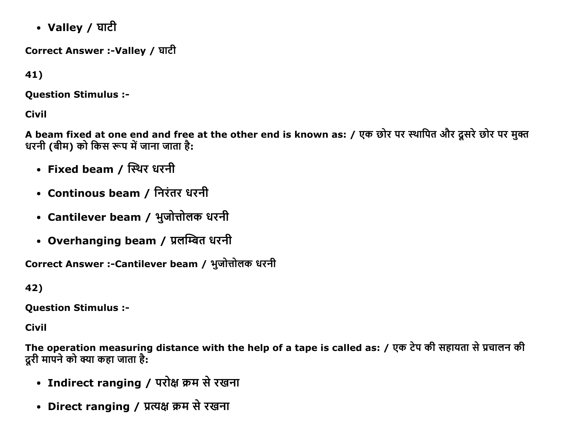• Valley / घाटी

Correct Answer :-Valley / घाटी

41)

Question Stimulus :

Civil

A beam fixed at one end and free at the other end is known as: / एक छोर पर स्थापित और दूसरे छोर पर मुक्त धरनी (बीम) को किस रूप में जाना जाता है:

- Fixed beam / स्थिर धरनी
- Continous beam / निरंतर धरनी
- Cantilever beam / भुजोत्तोलक धरनी
- Overhanging beam / प्रलम्बित धरनी

Correct Answer :-Cantilever beam / भुजोत्तोलक धरनी

42)

Question Stimulus :

Civil

The operation measuring distance with the help of a tape is called as: / एक टेप की सहायता से प्रचालन की दरी मापने को क्या कहा जाता है:

- Indirect ranging / परोक्ष क्रम से रखना
- Direct ranging / प्रत्यक्ष क्रम से रखना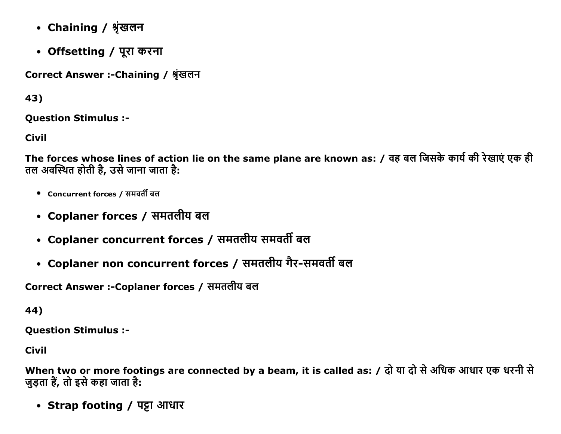- Chaining / श्रृंखलन
- Offsetting / पूरा करना

Correct Answer :- Chaining / श्रृंखलन

43)

**Question Stimulus :-**

**Civil** 

The forces whose lines of action lie on the same plane are known as: / वह बल जिसके कार्य की रेखाएं एक ही तल अवस्थित होती है, उसे जाना जाता है:

- Concurrent forces / समवर्ती बल
- Coplaner forces / समतलीय बल
- Coplaner concurrent forces / समतलीय समवर्ती बल
- Coplaner non concurrent forces / समतलीय गैर-समवर्ती बल

Correct Answer :-Coplaner forces / समतलीय बल

44)

**Question Stimulus :-**

**Civil** 

When two or more footings are connected by a beam, it is called as: / दो या दो से अधिक आधार एक धरनी से जुड़ता हैं, तो इसे कहा जाता है:

• Strap footing / पट्टा आधार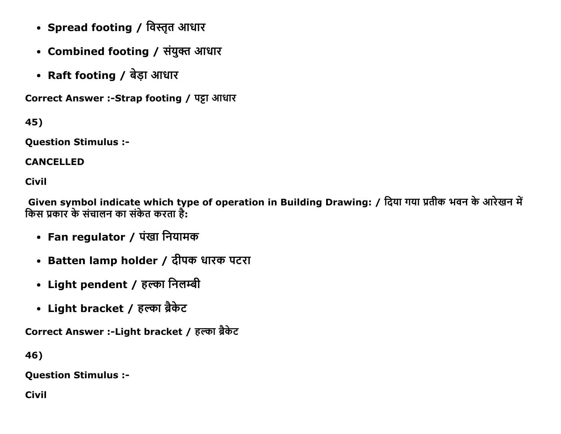- Spread footing / विस्तृत आधार
- Combined footing / संयुक्त आधार
- Raft footing / बेड़ा आधार

Correct Answer :- Strap footing / पट्टा आधार

45)

**Question Stimulus :-**

**CANCELLED** 

**Civil** 

Given symbol indicate which type of operation in Building Drawing: / दिया गया प्रतीक भवन के आरेखन में किस प्रकार के संचालन का संकेत करता है:

- Fan regulator / पंखा नियामक
- Batten lamp holder / दीपक धारक पटरा
- Light pendent / हल्का निलम्बी
- Light bracket / हल्का ब्रैकेट

Correct Answer :- Light bracket / हल्का ब्रैकेट

46)

**Question Stimulus :-**

**Civil**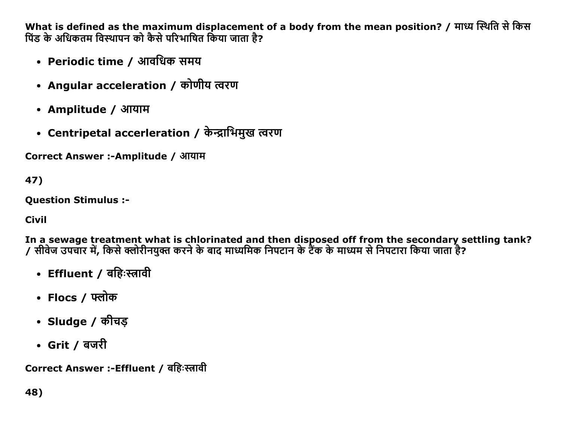What is defined as the maximum displacement of a body from the mean position? / माध्य स्थिति से किस पिंड के अधिकतम विस्थापन को कैसे परिभाषित किया जाता है?

- Periodic time / आवधिक समय
- Angular acceleration / कोणीय त्वरण
- Amplitude / आयाम
- Centripetal accerleration / केन्द्राभिमुख त्वरण

Correct Answer :- Amplitude / आयाम

47)

**Ouestion Stimulus :-**

**Civil** 

In a sewage treatment what is chlorinated and then disposed off from the secondary settling tank? --- में उँटेन्स्ट्रेंड में उम्मान्सर मान्ने कि आउँस्मान्सर्वे मान्ने साला माइन्टेंडचे उसे मध्यम से निपटारा किया जाता है?<br>/ सीवेज उपचार में, किसे क्लोरीनयुक्त करने के बाद माध्यमिक निपटान के टैंक के माध्यम से निपटारा किया ज

- Effluent / बहिःस्त्रावी
- Flocs / फ्लोक
- Sludge / कीचड़
- Grit / बजरी

Correct Answer :-Effluent / बहिःस्त्रावी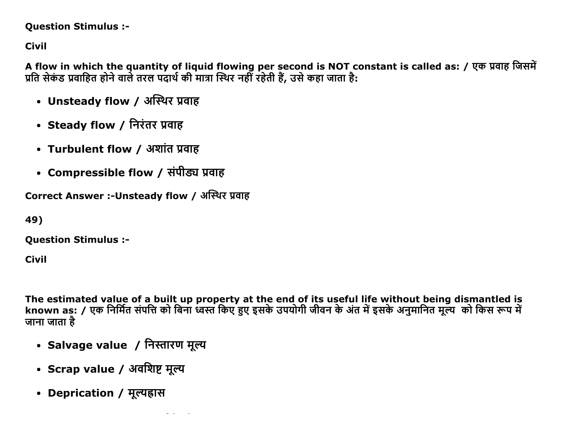### **Question Stimulus :-**

**Civil** 

A flow in which the quantity of liquid flowing per second is NOT constant is called as: / एक प्रवाह जिसमें प्रति सेकंड प्रवाहित होने वाले तरल पदार्थ की मात्रा स्थिर नहीं रहेती हैं, उसे कहा जाता है:

- Unsteady flow / अस्थिर प्रवाह
- Steady flow / निरंतर प्रवाह
- Turbulent flow / अशांत प्रवाह
- Compressible flow / संपीड्य प्रवाह

Correct Answer :-Unsteady flow / अस्थिर प्रवाह

49)

**Question Stimulus :-**

**Civil** 

The estimated value of a built up property at the end of its useful life without being dismantled is known as: / एक निर्मित संपत्ति को बिना ध्वस्त किए हुए इसके उपयोगी जीवन के अंत में इसके अनुमानित मूल्य को किस रूप में जाना जाता है

- Salvage value / निस्तारण मूल्य
- Scrap value / अवशिष्ट मूल्य
- Deprication / मूल्यहास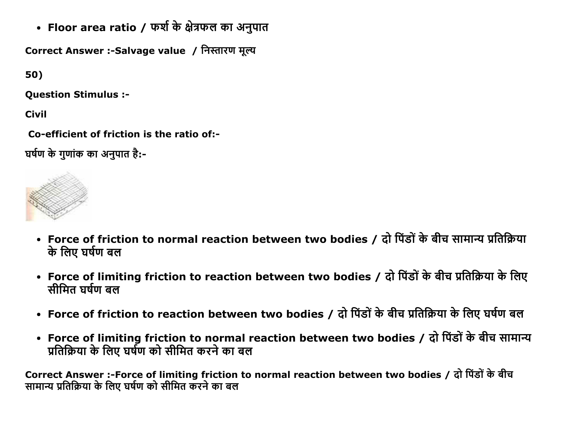• Floor area ratio / फर्श के क्षेत्रफल का अनुपात

Correct Answer :-Salvage value / निस्तारण मूल्य

50)

Question Stimulus :

Civil

Co-efficient of friction is the ratio of:-

घर्षण के गणांक का अनपात है:-



- Force of friction to normal reaction between two bodies / दो पिंडों के बीच सामान्य प्रतिक्रिया के लिए घर्षण बल
- Force of limiting friction to reaction between two bodies / दो पिंडों के बीच प्रतिक्रिया के लिए सीमित घर्षण बल
- Force of friction to reaction between two bodies / दो पिंडों के बीच प्रतिक्रिया के लिए घर्षण बल
- Force of limiting friction to normal reaction between two bodies / दो पिंडों के बीच सामान्य प्रतिक्रिया के लिए घर्षण को सीमित करने का बल

Correct Answer :-Force of limiting friction to normal reaction between two bodies / दो पिंडों के बीच सामान्य प्रतिक्रिया के लिए घर्षण को सीमित करने का बल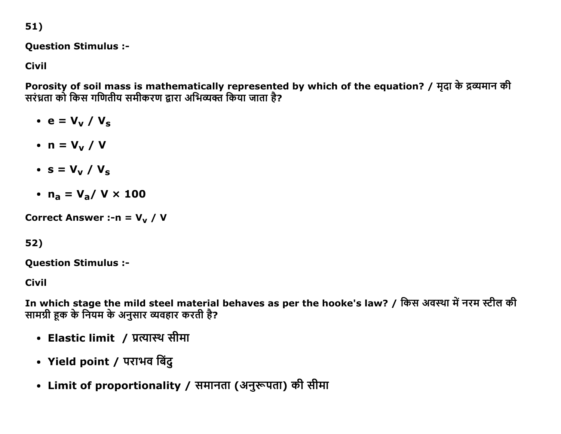51)

### **Question Stimulus :-**

**Civil** 

Porosity of soil mass is mathematically represented by which of the equation? / मृदा के द्रव्यमान की सरंध्रता को किस गणितीय समीकरण द्वारा अभिव्यक्त किया जाता है?

 $\cdot$  e = V<sub>v</sub> / V<sub>s</sub>

- $\bullet$  n = V<sub>v</sub> / V
- $\bullet$  s = V<sub>v</sub> / V<sub>s</sub>
- $n_a = V_a / V \times 100$

Correct Answer :-  $n = V_v / V$ 

# 52)

**Question Stimulus :-**

**Civil** 

In which stage the mild steel material behaves as per the hooke's law? / किस अवस्था में नरम स्टील की सामग्री हुक के नियम के अनुसार व्यवहार करती है?

- Elastic limit / प्रत्यास्थ सीमा
- Yield point / पराभव बिंदु
- Limit of proportionality / समानता (अनुरूपता) की सीमा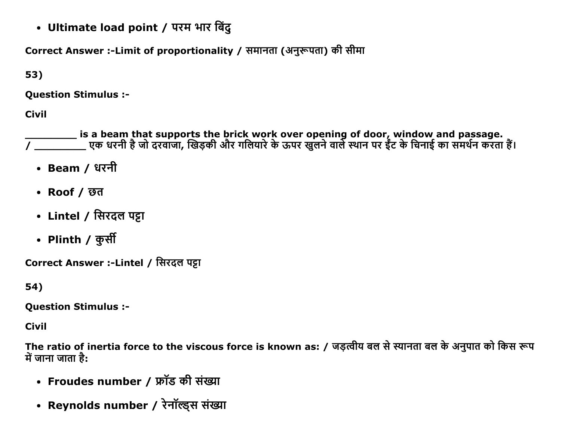• Ultimate load point / परम भार बिंदु

Correct Answer :-Limit of proportionality / समानता (अनुरूपता) की सीमा

53)

**Question Stimulus :-**

**Civil** 

is a beam that supports the brick work over opening of door, window and passage.<br>/ \_\_\_\_\_\_\_\_\_\_\_\_ एक धरनी है जो दरवाजा, खिड़की और गलियारे के ऊपर खुलने वाले स्थान पर ईंट के चिनाई का समर्थन करता हैं।

- Beam / धरनी
- Roof / छत
- Lintel / सिरदल पट्टा
- Plinth / कुर्सी

Correct Answer :-Lintel / सिरदल पट्टा

54)

**Question Stimulus :-**

**Civil** 

The ratio of inertia force to the viscous force is known as: / जड़त्वीय बल से स्यानता बल के अनुपात को किस रूप में जाना जाता है:

- Froudes number / फ्रॉड की संख्या
- Reynolds number / रेनॉल्ड्स संख्या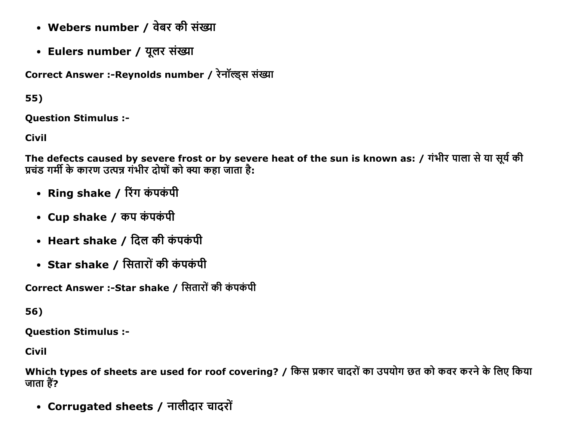- Webers number / वेबर की संख्या
- Eulers number / यूलर संख्या

Correct Answer :- Reynolds number / रेनॉल्ड्स संख्या

55)

**Ouestion Stimulus :-**

**Civil** 

The defects caused by severe frost or by severe heat of the sun is known as: / गंभीर पाला से या सूर्य की प्रचंड गर्मी के कारण उत्पन्न गंभीर दोषों को क्या कहा जाता है:

- Ring shake / रिंग कंपकंपी
- Cup shake / कप कंपकंपी
- Heart shake / दिल की कंपकंपी
- Star shake / सितारों की कंपकंपी

Correct Answer :-Star shake / सितारों की कंपकंपी

56)

**Question Stimulus :-**

Civil

Which types of sheets are used for roof covering? / किस प्रकार चादरों का उपयोग छत को कवर करने के लिए किया जाता हैं?

• Corrugated sheets / नालीदार चादरों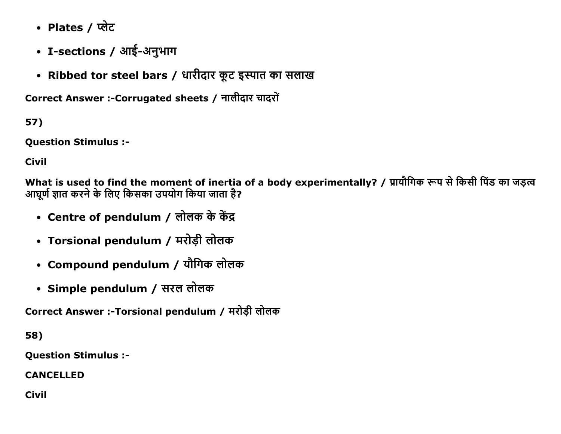- Plates / प्लेट
- I-sections / आई-अनुभाग
- Ribbed tor steel bars / धारीदार कूट इस्पात का सलाख

Correct Answer :-Corrugated sheets / नालीदार चादरों

57)

**Question Stimulus :-**

**Civil** 

What is used to find the moment of inertia of a body experimentally? / प्रायौगिक रूप से किसी पिंड का जड़त्व आघूर्ण ज्ञात करने के लिए किसका उपयोग किया जाता है?

- Centre of pendulum / लोलक के केंद्र
- Torsional pendulum / मरोड़ी लोलक
- Compound pendulum / यौगिक लोलक
- Simple pendulum / सरल लोलक

Correct Answer :-Torsional pendulum / मरोड़ी लोलक

58)

**Question Stimulus :-**

**CANCELLED** 

**Civil**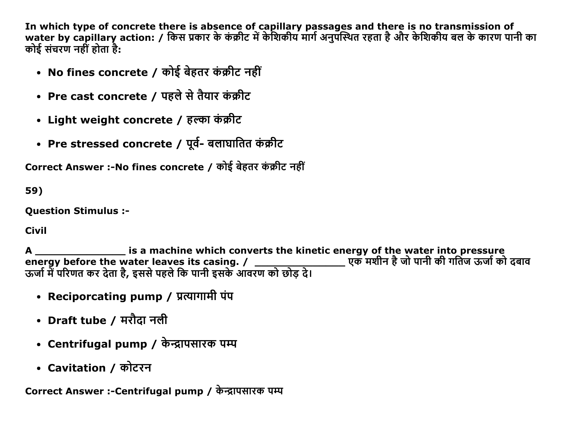In which type of concrete there is absence of capillary passages and there is no transmission of<br>water by capillary action: / किस प्रकार के कंक्रीट में केशिकीय मार्ग अनुपस्थित रहता है और केशिकीय बल के कारण पानी का कोई संचरण नहीं होता है:

- No fines concrete / कोई बेहतर कंक्रीट नहीं
- Pre cast concrete / पहले से तैयार कंक्रीट
- Light weight concrete / हल्का कंक्रीट
- Pre stressed concrete / पूर्व- बलाघातित कंक्रीट

Correct Answer :-No fines concrete / कोई बेहतर कंक्रीट नहीं

59)

**Ouestion Stimulus :-**

**Civil** 

is a machine which converts the kinetic energy of the water into pressure  $\mathbf{A}$ energy before the water leaves its casing. / \_\_\_\_\_\_\_\_\_\_\_\_\_<br>ऊर्जा में परिणत कर देता है, इससे पहले कि पानी इसके आवरण को छोड़ दे।

- Reciporcating pump / प्रत्यागामी पंप
- Draft tube / मरौदा नली
- Centrifugal pump / केन्द्रापसारक पम्प
- Cavitation / कोटरन

Correct Answer :-Centrifugal pump / केन्द्रापसारक पम्प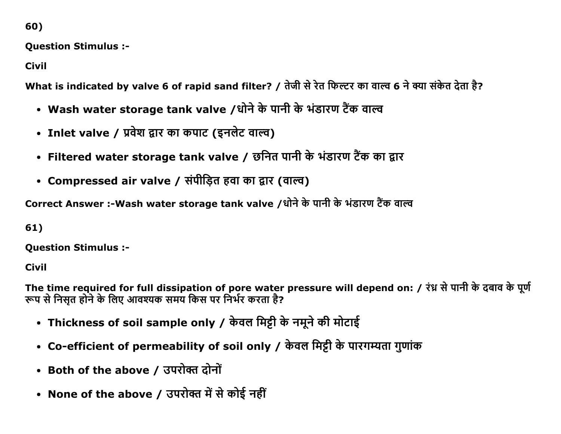60)

**Ouestion Stimulus :-**

**Civil** 

What is indicated by valve 6 of rapid sand filter? / तेजी से रेत फिल्टर का वाल्व 6 ने क्या संकेत देता है?

- Wash water storage tank valve /धोने के पानी के भंडारण टैंक वाल्व
- Inlet valve / प्रवेश द्वार का कपाट (इनलेट वाल्व)
- Filtered water storage tank valve / छनित पानी के भंडारण टैंक का द्वार
- Compressed air valve / संपीड़ित हवा का द्वार (वाल्व)

Correct Answer :-Wash water storage tank valve /धोने के पानी के भंडारण टैंक वाल्व

61)

**Question Stimulus :-**

Civil

The time required for full dissipation of pore water pressure will depend on: / रंध्न से पानी के दबाव के पूर्ण रूप से निसृत होने के लिए आवश्यक समय किस पर निर्भर करता है?

- Thickness of soil sample only / केवल मिट्टी के नमूने की मोटाई
- Co-efficient of permeability of soil only / केवल मिट्टी के पारगम्यता गुणांक
- Both of the above / उपरोक्त दोनों
- None of the above / उपरोक्त में से कोई नहीं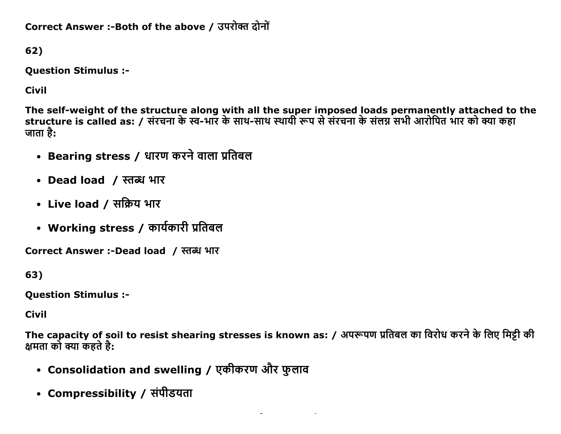Correct Answer :-Both of the above / उपरोक्त दोनों

62)

**Question Stimulus :-**

**Civil** 

The self-weight of the structure along with all the super imposed loads permanently attached to the<br>structure is called as: / संरचना के स्व-भार के साथ-साथ स्थायी रूप से संरचना के संलग्न सभी आरोपित भार को क्या कहा जाता है:

- Bearing stress / धारण करने वाला प्रतिबल
- Dead load / स्तब्ध भार
- Live load / सक्रिय भार
- Working stress / कार्यकारी प्रतिबल

Correct Answer :-Dead load / स्तब्ध भार

63)

**Question Stimulus :-**

**Civil** 

The capacity of soil to resist shearing stresses is known as: / अपरूपण प्रतिबल का विरोध करने के लिए मिट्री की क्षमता को क्या कहते है:

- Consolidation and swelling / एकीकरण और फुलाव
- Compressibility / संपीडयता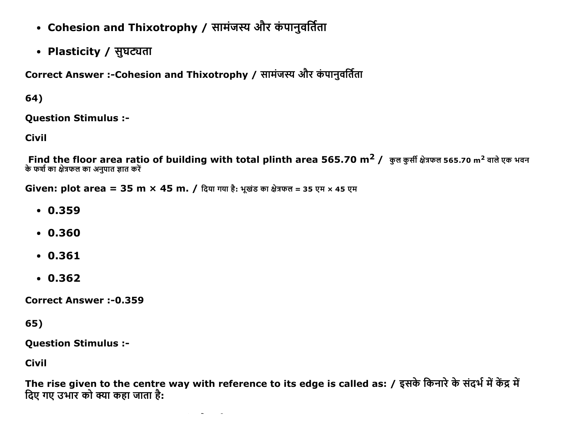- Cohesion and Thixotrophy / सामंजस्य और कंपानुवर्तिता
- Plasticity / सुघट्यता

Correct Answer :-Cohesion and Thixotrophy / सामंजस्य और कंपानवर्तिता

64)

**Question Stimulus :-**

**Civil** 

Find the floor area ratio of building with total plinth area 565.70 m<sup>2</sup> / कुल कुर्सी क्षेत्रफल 565.70 m<sup>2</sup> वाले एक भवन के फर्श का क्षेत्रफल का अनुपात ज्ञात करें

Given: plot area = 35 m  $\times$  45 m. / दिया गया है: भूखंड का क्षेत्रफल = 35 एम  $\times$  45 एम

- $.0.359$
- $0.360$
- $.0.361$
- $.0.362$

**Correct Answer:-0.359** 

65)

**Question Stimulus :-**

**Civil** 

The rise given to the centre way with reference to its edge is called as: / इसके किनारे के संदर्भ में केंद्र मे दिए गए उभार को क्या कहा जाता है: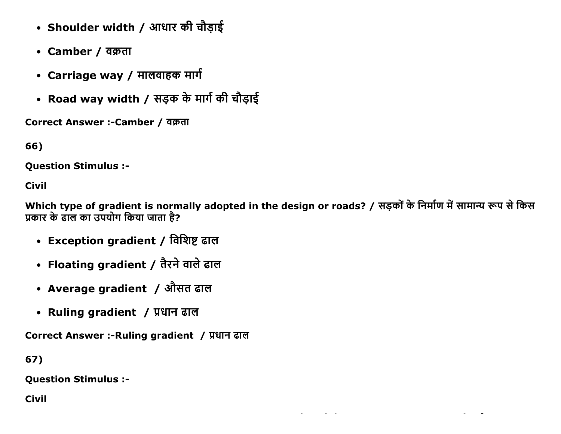- Shoulder width / आधार की चौड़ाई
- Camber / वक्रता
- Carriage way / मालवाहक मार्ग
- Road way width / सड़क के मार्ग की चौड़ाई

Correct Answer :- Camber / वक्रता

66)

**Ouestion Stimulus :-**

**Civil** 

Which type of gradient is normally adopted in the design or roads? / सड़कों के निर्माण में सामान्य रूप से किस प्रकार के ढाल का उपयोग किया जाता है?

- Exception gradient / विशिष्ट ढाल
- Floating gradient / तैरने वाले ढाल
- Average gradient / औसत ढाल
- Ruling gradient / प्रधान ढाल

Correct Answer :-Ruling gradient / प्रधान ढाल

67)

**Question Stimulus :-**

**Civil**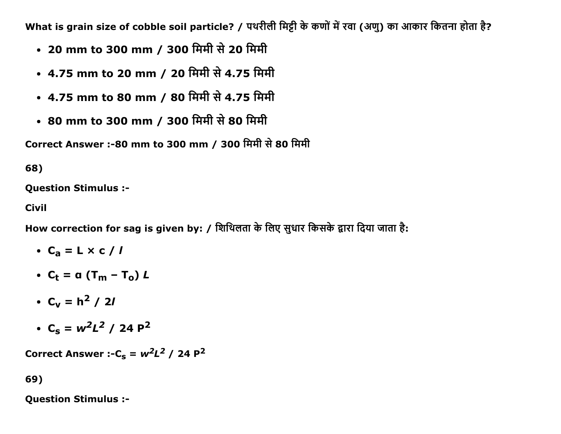What is grain size of cobble soil particle? / पथरीली मिट्टी के कणों में रवा (अणु) का आकार कितना होता है?

- 20 mm to 300 mm / 300 मिमी से 20 मिमी
- 4.75 mm to 20 mm / 20 मिमी से 4.75 मिमी
- 4.75 mm to 80 mm / 80 मिमी से 4.75 मिमी
- 80 mm to 300 mm / 300 मिमी से 80 मिमी

Correct Answer :-80 mm to 300 mm / 300 मिमी से 80 मिमी

68)

Question Stimulus :

Civil

How correction for sag is given by: / शिथिलता के लिए सुधार किसके द्वारा दिया जाता है:

$$
\bullet \ \mathsf{C}_a = \mathsf{L} \times \mathsf{c} \mathbin{/} \mathsf{I}
$$

- $C_t = a (T_m T_o) L$
- $C_v = h^2 / 2l$
- $C_s = w^2L^2 / 24 P^2$

Correct Answer :- $C_s = w^2L^2 / 24 P^2$ 

69)

Question Stimulus :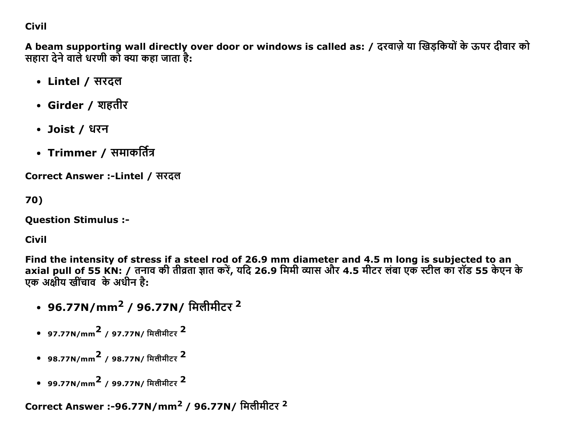## **Civil**

A beam supporting wall directly over door or windows is called as: / दरवाज़े या खिड़कियों के ऊपर दीवार को सहारा देने वाले धरणी को क्या कहा जाता है:

- Lintel / सरदल
- Girder / शहतीर
- Joist / धरन
- Trimmer / समाकर्तित्र

Correct Answer :-Lintel / सरदल

70)

**Ouestion Stimulus :-**

**Civil** 

Find the intensity of stress if a steel rod of 26.9 mm diameter and 4.5 m long is subjected to an axial pull of 55 KN: / तनाव की तीव्रता ज्ञात करें, यदि 26.9 मिमी व्यास और 4.5 मीटर लंबा एक स्टील का रॉड 55 केएन के एक अक्षीय खींचाव के अधीन है:

- 96.77N/mm<sup>2</sup> / 96.77N/ मिलीमीटर <sup>2</sup>
- 97.77N/mm<sup>2</sup> / 97.77N/ मिलीमीटर <sup>2</sup>
- 98.77N/mm<sup>2</sup> / 98.77N/ मिलीमीटर <sup>2</sup>
- 99.77N/mm<sup>2</sup> / 99.77N/ मिलीमीटर <sup>2</sup>

Correct Answer :-96.77N/mm<sup>2</sup> / 96.77N/ मिलीमीटर <sup>2</sup>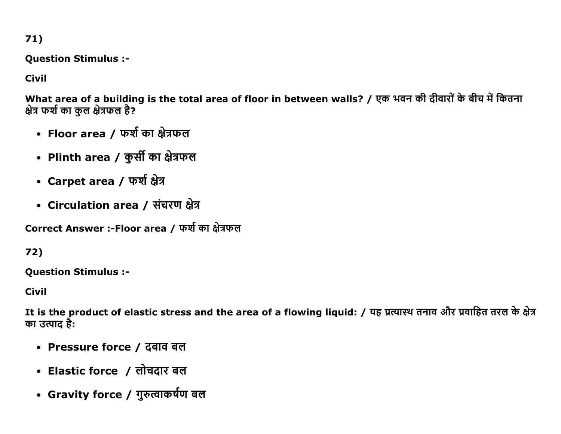$71)$ 

**Question Stimulus :-**

**Civil** 

What area of a building is the total area of floor in between walls? / एक भवन की दीवारों के बीच में कितना क्षेत्र फर्श का कुल क्षेत्रफल है?

- Floor area / फर्श का क्षेत्रफल
- Plinth area / कुर्सी का क्षेत्रफल
- Carpet area / फर्श क्षेत्र
- Circulation area / संचरण क्षेत्र

Correct Answer :-Floor area / फर्श का क्षेत्रफल

72)

**Question Stimulus :-**

**Civil** 

It is the product of elastic stress and the area of a flowing liquid: / यह प्रत्यास्थ तनाव और प्रवाहित तरल के क्षेत्र का उत्पाद है:

- Pressure force / दबाव बल
- Elastic force / लोचदार बल
- Gravity force / गुरुत्वाकर्षण बल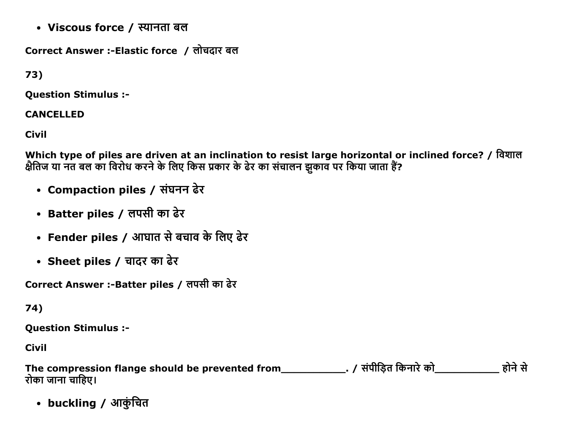• Viscous force / स्यानता बल

Correct Answer :-Elastic force / लोचदार बल

73)

**Question Stimulus :-**

### **CANCELLED**

**Civil** 

Which type of piles are driven at an inclination to resist large horizontal or inclined force? / विशाल<br>क्षैतिज या नत बल का विरोध करने के लिए किस प्रकार के ढेर का संचालन झुकाव पर किया जाता हैं?

- Compaction piles / संघनन ढेर
- Batter piles / लपसी का ढेर
- Fender piles / आघात से बचाव के लिए ढेर
- Sheet piles / चादर का ढेर

Correct Answer :- Batter piles / लपसी का ढेर

74)

**Question Stimulus :-**

**Civil** 

| The compression flange should be prevented from | . / संपीडित किनारे को | होने से |
|-------------------------------------------------|-----------------------|---------|
| रोका जाना चाहिए।                                |                       |         |

• buckling / आकुंचित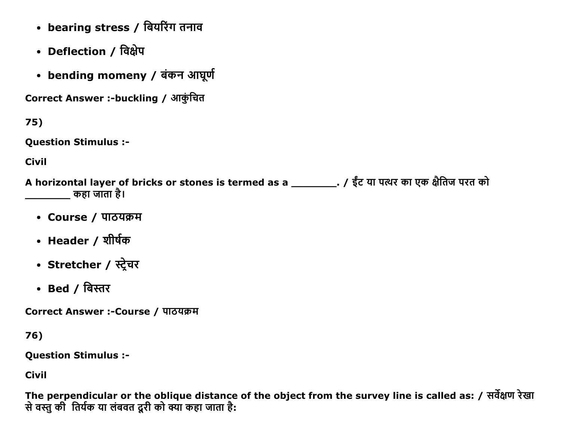- bearing stress / बियरिंग तनाव
- Deflection / विक्षेप
- bending momeny / बंकन आघूर्ण

Correct Answer :-buckling / आकुंचित

 $75)$ 

**Question Stimulus :-**

**Civil** 

A horizontal layer of bricks or stones is termed as a \_\_\_\_\_\_\_\_\_\_. / ईंट या पत्थर का एक क्षैतिज परत को कहा जाता है।

- Course / पाठयक्रम
- Header / शीर्षक
- Stretcher / स्ट्रेचर
- Bed / बिस्तर

Correct Answer :-Course / पाठयक्रम

76)

**Question Stimulus :-**

**Civil** 

The perpendicular or the oblique distance of the object from the survey line is called as: / सर्वेक्षण रेखा से वस्तु की तिर्यक या लंबवत दूरी को क्या कहा जाता है: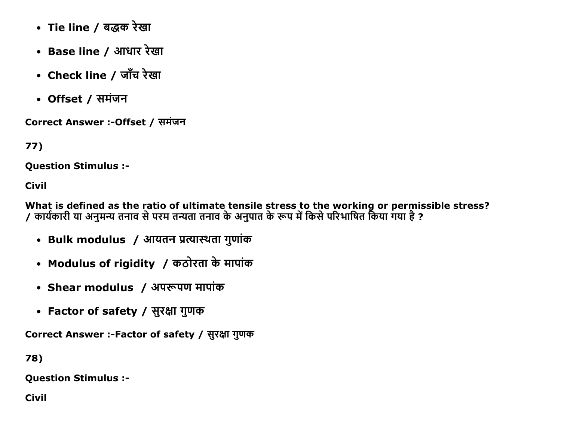- Tie line / बद्धक रेखा
- Base line / आधार रेखा
- Check line / जाँच रेखा
- Offset / समंजन

Correct Answer :- Offset / समंजन

77)

Question Stimulus :

Civil

What is defined as the ratio of ultimate tensile stress to the working or permissible stress? / कार्यकारी या अनुमन्य तनाव से परम तन्यता तनाव के अनुपात के रूप में किसे परिभाषित किया गया है ?

- Bulk modulus / आयतन प्रत्यास्थता गुणांक
- Modulus of rigidity / कठोरता के मापांक
- Shear modulus / अपरूपण मापांक
- Factor of safety / सुरक्षा गुणक

Correct Answer :-Factor of safety / सुरक्षा गुणक

78)

Question Stimulus :

Civil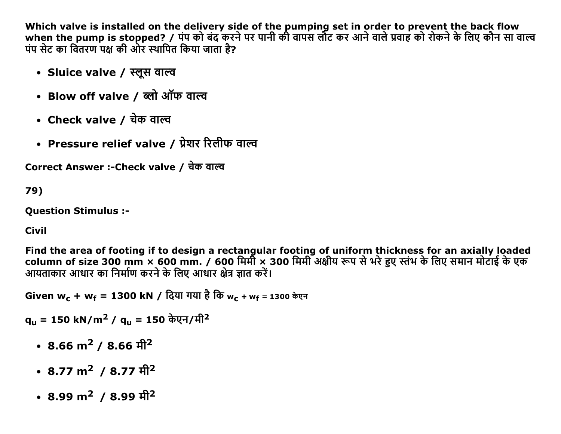Which valve is installed on the delivery side of the pumping set in order to prevent the back flow when the pump is stopped? / पंप को बंद करने पर पानी की वापस लौट कर आने वाले प्रवाह को रोकने के लिए कौन सा वाल्व पंप सेट का वितरण पक्ष की ओर स्थापित किया जाता है?

- Sluice valve / स्लूस वाल्व
- Blow off valve / ब्लो ऑफ वाल्व
- Check valve / चेक वाल्व
- Pressure relief valve / प्रेशर रिलीफ वाल्व

Correct Answer :- Check valve / चेक वाल्व

79)

**Ouestion Stimulus :-**

#### **Civil**

Find the area of footing if to design a rectangular footing of uniform thickness for an axially loaded column of size 300 mm × 600 mm. / 600 मिर्मी × 300 मिमी अक्षीय रूप से भरे हुए स्तंभ के लिए समान मोटाई के एक आयताकार आधार का निर्माण करने के लिए आधार क्षेत्र ज्ञात करें।

Given w<sub>c</sub> + w<sub>f</sub> = 1300 kN / दिया गया है कि w<sub>c</sub> + wf = 1300 केएन

q<sub>u</sub> = 150 kN/m<sup>2</sup> / q<sub>u</sub> = 150 केएन/मी<sup>2</sup>

- 8.66 m<sup>2</sup> / 8.66 मी<sup>2</sup>
- 8.77 m<sup>2</sup> / 8.77  $\hat{\pi}$ <sup>2</sup>
- 8.99 m<sup>2</sup> / 8.99  $\hat{\pi}$ <sup>2</sup>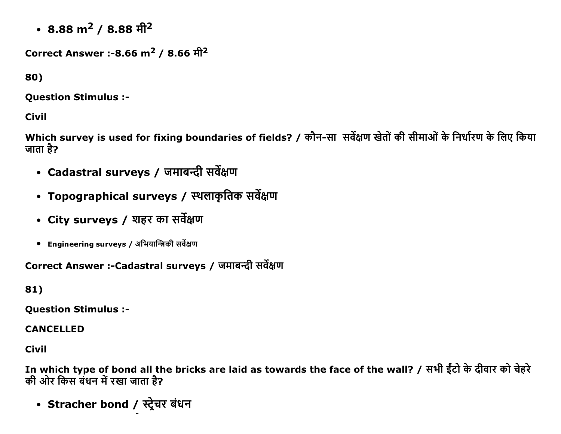• 8.88 m<sup>2</sup> / 8.88  $\hat{\pi}$ <sup>2</sup>

Correct Answer :-8.66 m<sup>2</sup> / 8.66  $\hat{\pi}^2$ 

80)

**Question Stimulus :-**

**Civil** 

Which survey is used for fixing boundaries of fields? / कौन-सा सर्वेक्षण खेतों की सीमाओं के निर्धारण के लिए किया जाता है?

- Cadastral surveys / जमाबन्दी सर्वेक्षण
- Topographical surveys / स्थलाकृतिक सर्वेक्षण
- City surveys / शहर का सर्वेक्षण
- Engineering surveys / अभियान्त्रिकी सर्वेक्षण

Correct Answer :- Cadastral surveys / जमाबन्दी सर्वेक्षण

81)

**Ouestion Stimulus :-**

**CANCELLED** 

**Civil** 

In which type of bond all the bricks are laid as towards the face of the wall? / सभी ईंटो के दीवार को चेहरे की ओर किस बंधन में रखा जाता है?

• Stracher bond / स्ट्रेचर बंधन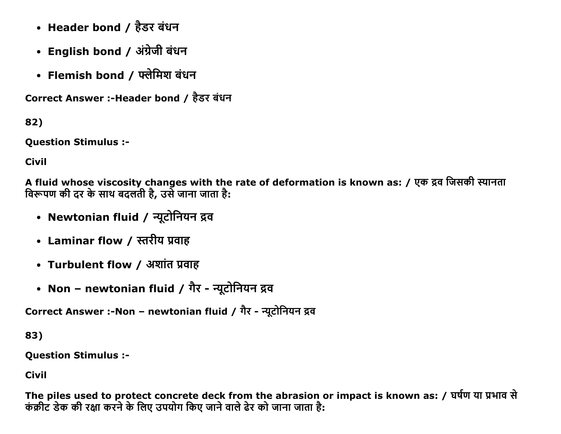- Header bond / हैडर बंधन
- English bond / अंग्रेजी बंधन
- Flemish bond / फ्लेमिश बंधन

Correct Answer :-Header bond / हैडर बंधन

82)

**Question Stimulus :-**

**Civil** 

A fluid whose viscosity changes with the rate of deformation is known as: / एक द्रव जिसकी स्यानता विरूपण की दर के साथ बदलती है, उसे जाना जाता है:

- Newtonian fluid / न्यूटोनियन द्रव
- Laminar flow / स्तरीय प्रवाह
- Turbulent flow / अशांत प्रवाह
- Non newtonian fluid / गैर न्यूटोनियन द्रव

Correct Answer :-Non - newtonian fluid / गैर - न्यूटोनियन द्रव

83)

**Question Stimulus :-**

**Civil** 

The piles used to protect concrete deck from the abrasion or impact is known as: / घर्षण या प्रभाव से कंक्रीट डेक की रक्षा करने के लिए उपयोग किए जाने वाले ढेर को जाना जाता है: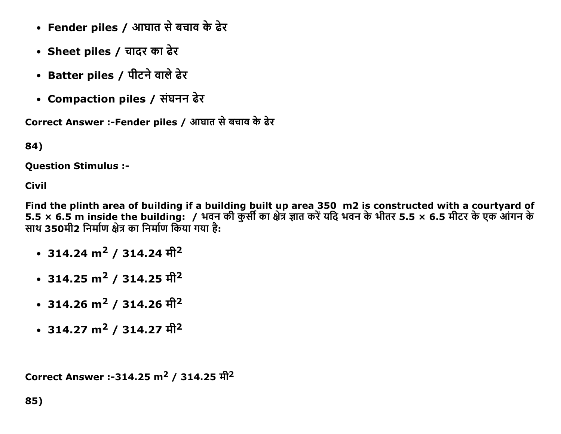- Fender piles / आघात से बचाव के ढेर
- Sheet piles / चादर का ढेर
- Batter piles / पीटने वाले ढेर
- Compaction piles / संघनन ढेर

Correct Answer :-Fender piles / आघात से बचाव के ढेर

84)

Question Stimulus :

Civil

Find the plinth area of building if a building built up area 350 m2 is constructed with a courtyard of 5.5 × 6.5 m inside the building: / भवन की कुर्सी का क्षेत्र ज्ञात करें यदि भवन के भीतर 5.5 × 6.5 मीटर के एक आंगन के ञ्चल 350मी2 निर्माण क्षेत्र का निर्माण किया गया है:

- 314.24 m<sup>2</sup> / 314.24 मी<sup>2</sup>
- 314.25 m<sup>2</sup> / 314.25  $\hat{\pi}$ <sup>2</sup>
- 314.26  $m^2$  / 314.26  $\hat{\pi}$ <sup>2</sup>
- 314.27 m<sup>2</sup> / 314.27  $\hat{\pi}$ <sup>2</sup>

```
Correct Answer :-314.25 m<sup>2</sup> / 314.25 \hat{\pi}^2
```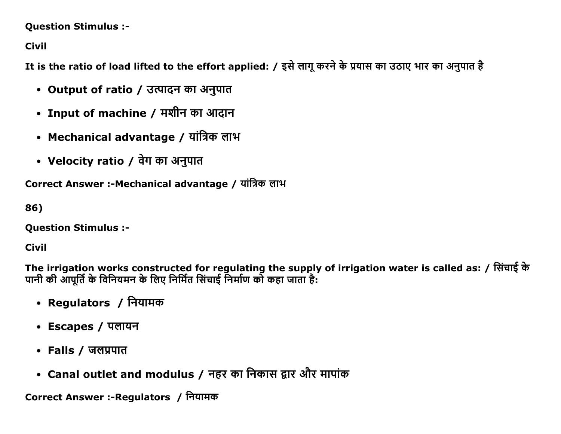#### **Question Stimulus :-**

**Civil** 

It is the ratio of load lifted to the effort applied: / इसे लागू करने के प्रयास का उठाए भार का अनुपात है

- Output of ratio / उत्पादन का अनुपात
- Input of machine / मशीन का आदान
- Mechanical advantage / यांत्रिक लाभ
- Velocity ratio / वेग का अनुपात

Correct Answer :-Mechanical advantage / यांत्रिक लाभ

86)

**Question Stimulus :-**

## **Civil**

The irrigation works constructed for regulating the supply of irrigation water is called as: / सिंचाई के पानी की आपूर्ति के विनियमन के लिए निर्मित सिंचाई निर्माण को कहा जाता है:

- Regulators / नियामक
- Escapes / पलायन
- Falls / जलप्रपात
- Canal outlet and modulus / नहर का निकास द्वार और मापांक

Correct Answer :-Regulators / नियामक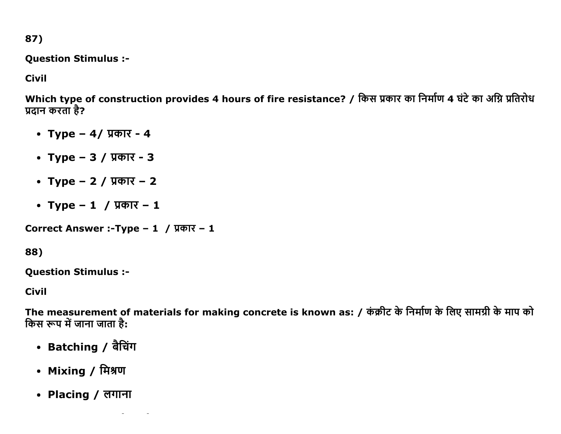87)

**Question Stimulus :-**

**Civil** 

Which type of construction provides 4 hours of fire resistance? / किस प्रकार का निर्माण 4 घंटे का अग्नि प्रतिरोध प्रदान करता है?

- Type  $-4/$  प्रकार 4
- Type  $-3/$   $\sqrt{37} 3$
- Type  $-2/$  *y* $\overline{q}$ *y* $\overline{r}$  2
- Type  $-1$  / प्रकार  $-1$

Correct Answer :-Type - 1 / प्रकार - 1

88)

**Question Stimulus :-**

**Civil** 

The measurement of materials for making concrete is known as: / कंक्रीट के निर्माण के लिए सामग्री के माप को किस रूप में जाना जाता है:

- Batching / बैचिंग
- Mixing / मिश्रण
- Placing / लगाना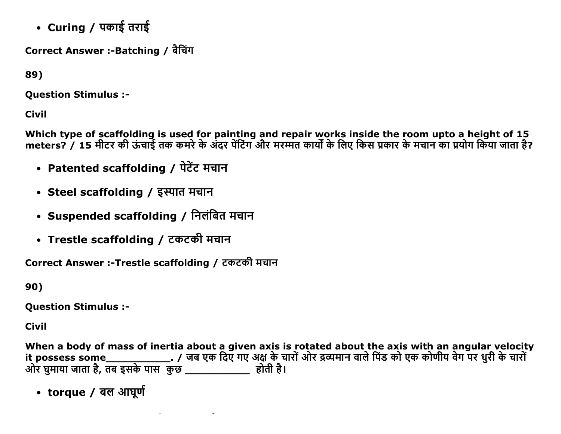• Curing / पकाई तराई

Correct Answer :-Batching / बैचिंग

89)

**Ouestion Stimulus :-**

**Civil** 

Which type of scaffolding is used for painting and repair works inside the room upto a height of 15 meters? / 15 मीटर की ऊंचाई तक कमरे के अंदर पेंटिंग और मरमत कार्यों के लिए किस प्रकार के मचान का प्रयोग किया जाता है?

- Patented scaffolding / पेटेंट मचान
- Steel scaffolding / इस्पात मचान
- Suspended scaffolding / निलंबित मचान
- Trestle scaffolding / टकटकी मचान

Correct Answer :- Trestle scaffolding / टकटकी मचान

90)

**Question Stimulus :-**

Civil

When a body of mass of inertia about a given axis is rotated about the axis with an angular velocity 

• torque / बल आघूर्ण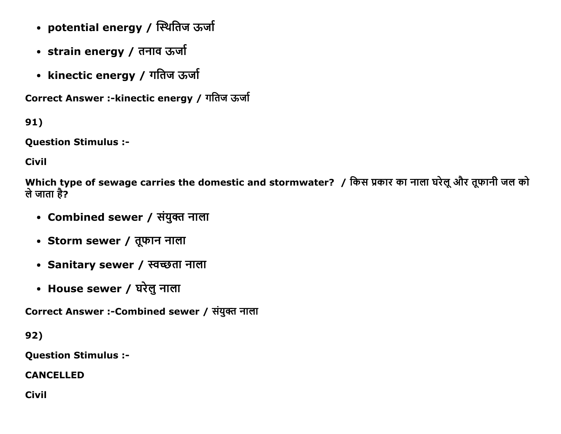- potential energy / स्थितिज ऊर्जा
- strain energy / तनाव ऊर्जा
- kinectic energy / गतिज ऊर्जा

Correct Answer :-kinectic energy / गतिज ऊर्जा

91)

Question Stimulus :

Civil

Which type of sewage carries the domestic and stormwater? / किस प्रकार का नाला घरेलू और तूफानी जल को ले जाता है?

- Combined sewer / संयुक्त नाला
- Storm sewer / तूफान नाला
- Sanitary sewer / स्वच्छता नाला
- House sewer / घरेलु नाला

Correct Answer :-Combined sewer / संयुक्त नाला

92)

Question Stimulus :

CANCELLED

Civil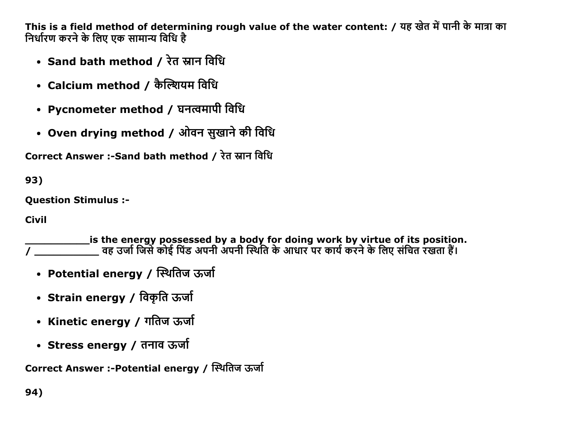This is a field method of determining rough value of the water content: / यह खेत में पानी के मात्रा का निर्धारण करने के लिए एक सामान्य विधि है

- Sand bath method / रेत स्नान विधि
- Calcium method / कैल्शियम विधि
- Pycnometer method / घनत्वमापी विधि
- Oven drying method / ओवन सुखाने की विधि

Correct Answer :-Sand bath method / रेत स्नान विधि

93)

**Ouestion Stimulus :-**

**Civil** 

is the energy possessed by a body for doing work by virtue of its position. , कार्य कार्य के लिसे कोई पिंड अपनी अपनी स्थिति के आधार पर कार्य करने के लिए संचित रखता हैं। बात वह उर्जा जिसे

- Potential energy / स्थितिज ऊर्जा
- Strain energy / विकृति ऊर्जा
- Kinetic energy / गतिज ऊर्जा
- Stress energy / तनाव ऊर्जा

Correct Answer :-Potential energy / स्थितिज ऊर्जा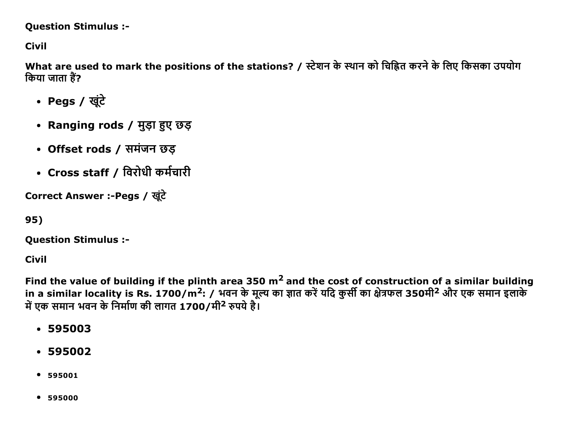## **Question Stimulus :-**

**Civil** 

What are used to mark the positions of the stations? / स्टेशन के स्थान को चिह्नित करने के लिए किसका उपयोग किया जाता हैं?

- Pegs / खूंटे
- Ranging rods / मुड़ा हुए छड़
- Offset rods / समंजन छड़
- Cross staff / विरोधी कर्मचारी

Correct Answer :-Pegs / खुंटे

95)

**Question Stimulus :-**

**Civil** 

Find the value of building if the plinth area 350  $m<sup>2</sup>$  and the cost of construction of a similar building in a similar locality is Rs. 1700/m<sup>2</sup>: / भवन के मूल्य का ज्ञात करें यदि कुर्सी का क्षेत्रफल 350मी<sup>2</sup> और एक समान इलाके में एक समान भवन के निर्माण की लागत 1700/मी<sup>2</sup> रुपये हैं।

- $-595003$
- $-595002$
- $595001$
- $595000$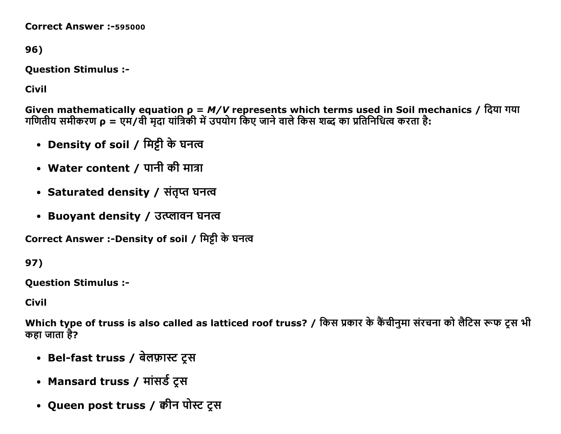**Correct Answer: -595000** 

96)

**Question Stimulus :-**

**Civil** 

Given mathematically equation  $\rho = M/V$  represents which terms used in Soil mechanics / दिया गया<br>गणितीय समीकरण  $\rho = \text{V} + \text{V}$ वी मृदा यांत्रिकी में उपयोग किए जाने वाले किस शब्द का प्रतिनिधित्व करता है:

- Density of soil / मिट्टी के घनत्व
- Water content / पानी की मात्रा
- Saturated density / संतृप्त घनत्व
- Buovant density / उत्प्लावन घनत्व

Correct Answer :-Density of soil / मिट्टी के घनत्व

97)

**Ouestion Stimulus :-**

**Civil** 

Which type of truss is also called as latticed roof truss? / किस प्रकार के कैंचीनुमा संरचना को लैटिस रूफ ट्स भी कहा जाता है?

- Bel-fast truss / बेलफ़ास्ट ट्स
- Mansard truss / मांसर्ड ट्रस
- Queen post truss / क्वीन पोस्ट ट्स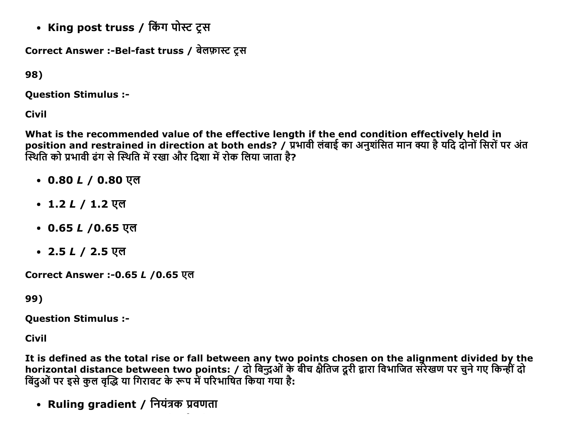• King post truss / किंग पोस्ट ट्स

Correct Answer :-Bel-fast truss / बेलफ़ास्ट ट्रस

98)

**Question Stimulus :-**

**Civil** 

What is the recommended value of the effective length if the end condition effectively held in position and restrained in direction at both ends? / प्रभावी लंबाई का अनुशंसित मान क्या है यदि दोनों सिरों पर अंत<br>स्थिति को प्रभावी ढंग से स्थिति में रखा और दिशा में रोक लिया जाता है?

- 0.80  $L / 0.80$  एल
- 1.2 *L* / 1.2 एल
- 0.65 *L* /0.65 एल
- 2.5 *L /* 2.5 एल

Correct Answer :- 0.65 L / 0.65 एल

99)

**Question Stimulus :-**

**Civil** 

It is defined as the total rise or fall between any two points chosen on the alignment divided by the horizontal distance between two points: / दो बिद्धओं के बीच क्षैतिज दूरी द्वारा विभाजित संरेखण पर चुने गए किन्हीं दो बिंदुओं पर इसे कुल वृद्धि या गिरावट के रूप में परिभाषित किया गया है:

• Ruling gradient / नियंत्रक प्रवणता